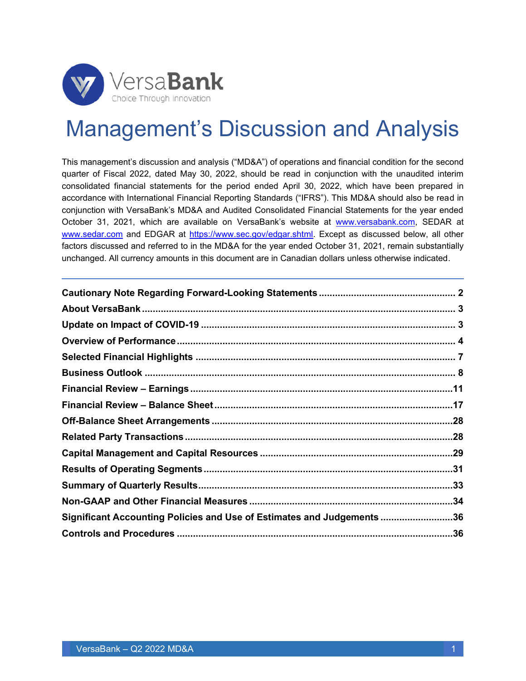

# Management's Discussion and Analysis

This management's discussion and analysis ("MD&A") of operations and financial condition for the second quarter of Fiscal 2022, dated May 30, 2022, should be read in conjunction with the unaudited interim consolidated financial statements for the period ended April 30, 2022, which have been prepared in accordance with International Financial Reporting Standards ("IFRS"). This MD&A should also be read in conjunction with VersaBank's MD&A and Audited Consolidated Financial Statements for the year ended October 31, 2021, which are available on VersaBank's website at [www.versabank.com,](http://www.versabank.com/) SEDAR at [www.sedar.com](http://www.sedar.com/) and EDGAR at [https://www.sec.gov/edgar.shtml.](https://www.sec.gov/edgar.shtml) Except as discussed below, all other factors discussed and referred to in the MD&A for the year ended October 31, 2021, remain substantially unchanged. All currency amounts in this document are in Canadian dollars unless otherwise indicated.

| Significant Accounting Policies and Use of Estimates and Judgements 36 |  |
|------------------------------------------------------------------------|--|
|                                                                        |  |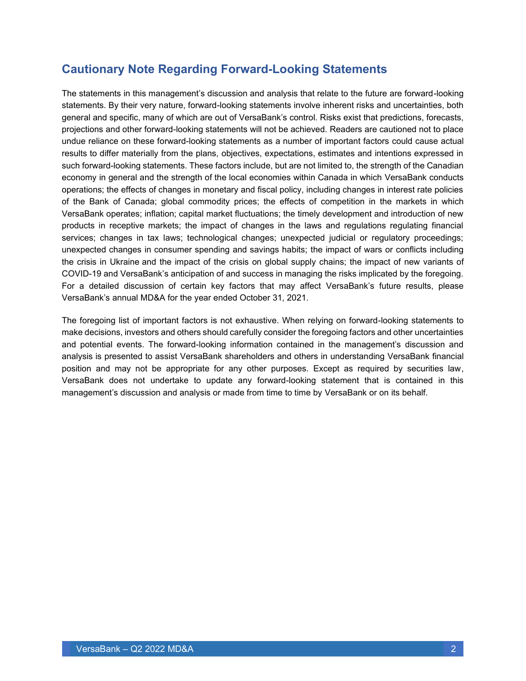### <span id="page-1-0"></span>**Cautionary Note Regarding Forward-Looking Statements**

The statements in this management's discussion and analysis that relate to the future are forward-looking statements. By their very nature, forward-looking statements involve inherent risks and uncertainties, both general and specific, many of which are out of VersaBank's control. Risks exist that predictions, forecasts, projections and other forward-looking statements will not be achieved. Readers are cautioned not to place undue reliance on these forward-looking statements as a number of important factors could cause actual results to differ materially from the plans, objectives, expectations, estimates and intentions expressed in such forward-looking statements. These factors include, but are not limited to, the strength of the Canadian economy in general and the strength of the local economies within Canada in which VersaBank conducts operations; the effects of changes in monetary and fiscal policy, including changes in interest rate policies of the Bank of Canada; global commodity prices; the effects of competition in the markets in which VersaBank operates; inflation; capital market fluctuations; the timely development and introduction of new products in receptive markets; the impact of changes in the laws and regulations regulating financial services; changes in tax laws; technological changes; unexpected judicial or regulatory proceedings; unexpected changes in consumer spending and savings habits; the impact of wars or conflicts including the crisis in Ukraine and the impact of the crisis on global supply chains; the impact of new variants of COVID-19 and VersaBank's anticipation of and success in managing the risks implicated by the foregoing. For a detailed discussion of certain key factors that may affect VersaBank's future results, please VersaBank's annual MD&A for the year ended October 31, 2021.

The foregoing list of important factors is not exhaustive. When relying on forward-looking statements to make decisions, investors and others should carefully consider the foregoing factors and other uncertainties and potential events. The forward-looking information contained in the management's discussion and analysis is presented to assist VersaBank shareholders and others in understanding VersaBank financial position and may not be appropriate for any other purposes. Except as required by securities law, VersaBank does not undertake to update any forward-looking statement that is contained in this management's discussion and analysis or made from time to time by VersaBank or on its behalf.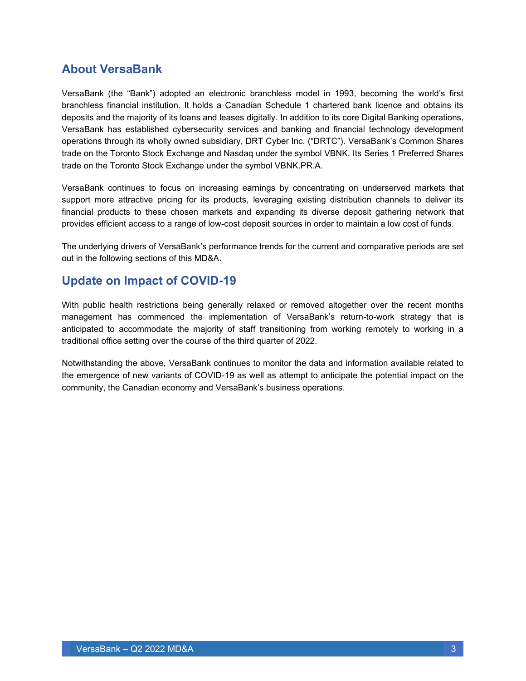### <span id="page-2-0"></span>**About VersaBank**

VersaBank (the "Bank") adopted an electronic branchless model in 1993, becoming the world's first branchless financial institution. It holds a Canadian Schedule 1 chartered bank licence and obtains its deposits and the majority of its loans and leases digitally. In addition to its core Digital Banking operations, VersaBank has established cybersecurity services and banking and financial technology development operations through its wholly owned subsidiary, DRT Cyber Inc. ("DRTC"). VersaBank's Common Shares trade on the Toronto Stock Exchange and Nasdaq under the symbol VBNK. Its Series 1 Preferred Shares trade on the Toronto Stock Exchange under the symbol VBNK.PR.A.

VersaBank continues to focus on increasing earnings by concentrating on underserved markets that support more attractive pricing for its products, leveraging existing distribution channels to deliver its financial products to these chosen markets and expanding its diverse deposit gathering network that provides efficient access to a range of low-cost deposit sources in order to maintain a low cost of funds.

The underlying drivers of VersaBank's performance trends for the current and comparative periods are set out in the following sections of this MD&A.

### <span id="page-2-1"></span>**Update on Impact of COVID-19**

With public health restrictions being generally relaxed or removed altogether over the recent months management has commenced the implementation of VersaBank's return-to-work strategy that is anticipated to accommodate the majority of staff transitioning from working remotely to working in a traditional office setting over the course of the third quarter of 2022.

Notwithstanding the above, VersaBank continues to monitor the data and information available related to the emergence of new variants of COVID-19 as well as attempt to anticipate the potential impact on the community, the Canadian economy and VersaBank's business operations.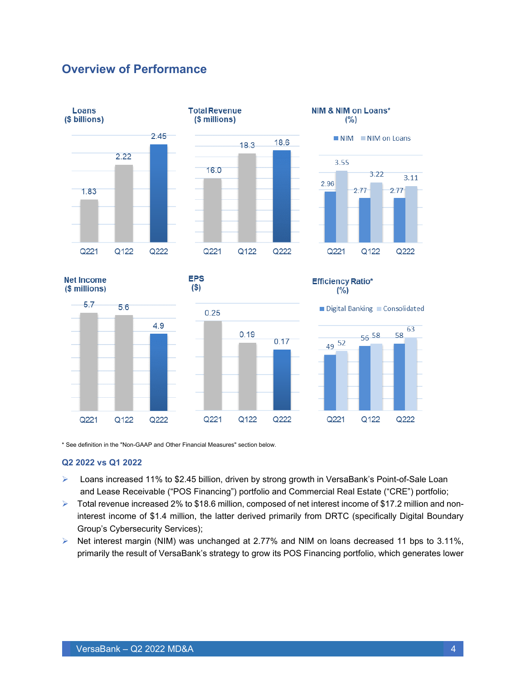### <span id="page-3-0"></span>**Overview of Performance**



\* See definition in the "Non-GAAP and Other Financial Measures" section below.

#### **Q2 2022 vs Q1 2022**

- ➢ Loans increased 11% to \$2.45 billion, driven by strong growth in VersaBank's Point-of-Sale Loan and Lease Receivable ("POS Financing") portfolio and Commercial Real Estate ("CRE") portfolio;
- ➢ Total revenue increased 2% to \$18.6 million, composed of net interest income of \$17.2 million and noninterest income of \$1.4 million, the latter derived primarily from DRTC (specifically Digital Boundary Group's Cybersecurity Services);
- ➢ Net interest margin (NIM) was unchanged at 2.77% and NIM on loans decreased 11 bps to 3.11%, primarily the result of VersaBank's strategy to grow its POS Financing portfolio, which generates lower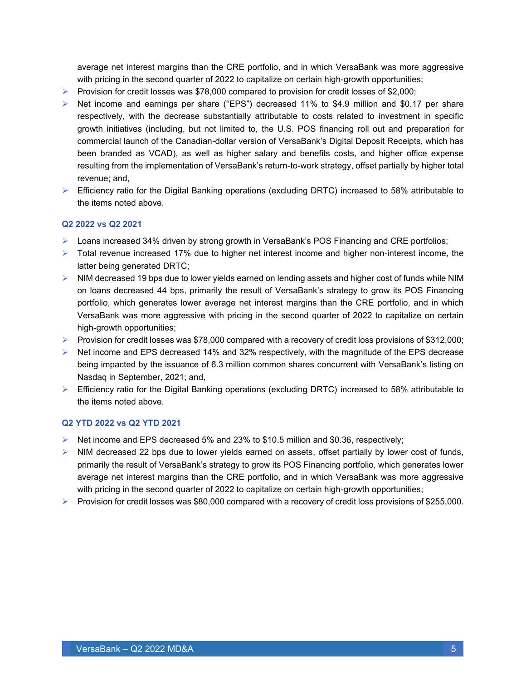average net interest margins than the CRE portfolio, and in which VersaBank was more aggressive with pricing in the second quarter of 2022 to capitalize on certain high-growth opportunities;

- $\triangleright$  Provision for credit losses was \$78,000 compared to provision for credit losses of \$2,000;
- ➢ Net income and earnings per share ("EPS") decreased 11% to \$4.9 million and \$0.17 per share respectively, with the decrease substantially attributable to costs related to investment in specific growth initiatives (including, but not limited to, the U.S. POS financing roll out and preparation for commercial launch of the Canadian-dollar version of VersaBank's Digital Deposit Receipts, which has been branded as VCAD), as well as higher salary and benefits costs, and higher office expense resulting from the implementation of VersaBank's return-to-work strategy, offset partially by higher total revenue; and,
- $\triangleright$  Efficiency ratio for the Digital Banking operations (excluding DRTC) increased to 58% attributable to the items noted above.

#### **Q2 2022 vs Q2 2021**

- ➢ Loans increased 34% driven by strong growth in VersaBank's POS Financing and CRE portfolios;
- ➢ Total revenue increased 17% due to higher net interest income and higher non-interest income, the latter being generated DRTC;
- $\triangleright$  NIM decreased 19 bps due to lower yields earned on lending assets and higher cost of funds while NIM on loans decreased 44 bps, primarily the result of VersaBank's strategy to grow its POS Financing portfolio, which generates lower average net interest margins than the CRE portfolio, and in which VersaBank was more aggressive with pricing in the second quarter of 2022 to capitalize on certain high-growth opportunities;
- $\triangleright$  Provision for credit losses was \$78,000 compared with a recovery of credit loss provisions of \$312,000;
- $\triangleright$  Net income and EPS decreased 14% and 32% respectively, with the magnitude of the EPS decrease being impacted by the issuance of 6.3 million common shares concurrent with VersaBank's listing on Nasdaq in September, 2021; and,
- ➢ Efficiency ratio for the Digital Banking operations (excluding DRTC) increased to 58% attributable to the items noted above.

#### **Q2 YTD 2022 vs Q2 YTD 2021**

- $\triangleright$  Net income and EPS decreased 5% and 23% to \$10.5 million and \$0.36, respectively;
- $\triangleright$  NIM decreased 22 bps due to lower yields earned on assets, offset partially by lower cost of funds, primarily the result of VersaBank's strategy to grow its POS Financing portfolio, which generates lower average net interest margins than the CRE portfolio, and in which VersaBank was more aggressive with pricing in the second quarter of 2022 to capitalize on certain high-growth opportunities;
- $\triangleright$  Provision for credit losses was \$80,000 compared with a recovery of credit loss provisions of \$255,000.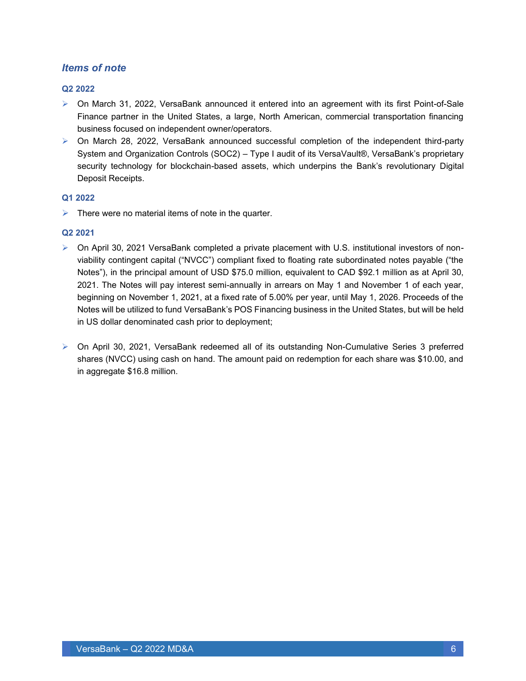### *Items of note*

#### **Q2 2022**

- ➢ On March 31, 2022, VersaBank announced it entered into an agreement with its first Point-of-Sale Finance partner in the United States, a large, North American, commercial transportation financing business focused on independent owner/operators.
- ➢ On March 28, 2022, VersaBank announced successful completion of the independent third-party System and Organization Controls (SOC2) – Type I audit of its VersaVault®, VersaBank's proprietary security technology for blockchain-based assets, which underpins the Bank's revolutionary Digital Deposit Receipts.

#### **Q1 2022**

 $\triangleright$  There were no material items of note in the quarter.

#### **Q2 2021**

- ➢ On April 30, 2021 VersaBank completed a private placement with U.S. institutional investors of nonviability contingent capital ("NVCC") compliant fixed to floating rate subordinated notes payable ("the Notes"), in the principal amount of USD \$75.0 million, equivalent to CAD \$92.1 million as at April 30, 2021. The Notes will pay interest semi-annually in arrears on May 1 and November 1 of each year, beginning on November 1, 2021, at a fixed rate of 5.00% per year, until May 1, 2026. Proceeds of the Notes will be utilized to fund VersaBank's POS Financing business in the United States, but will be held in US dollar denominated cash prior to deployment;
- ➢ On April 30, 2021, VersaBank redeemed all of its outstanding Non-Cumulative Series 3 preferred shares (NVCC) using cash on hand. The amount paid on redemption for each share was \$10.00, and in aggregate \$16.8 million.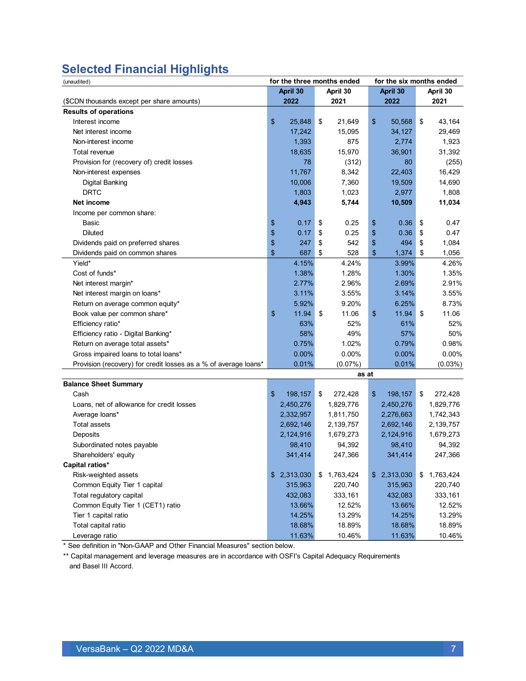### <span id="page-6-0"></span>**Selected Financial Highlights**

| (unaudited)                                                     | for the three months ended |    |            | for the six months ended |                 |  |
|-----------------------------------------------------------------|----------------------------|----|------------|--------------------------|-----------------|--|
|                                                                 | April 30                   |    | April 30   | April 30                 | April 30        |  |
| (\$CDN thousands except per share amounts)                      | 2022                       |    | 2021       | 2022                     | 2021            |  |
| <b>Results of operations</b>                                    |                            |    |            |                          |                 |  |
| Interest income                                                 | \$<br>25,848               | \$ | 21,649     | \$<br>50,568             | \$<br>43,164    |  |
| Net interest income                                             | 17,242                     |    | 15,095     | 34,127                   | 29,469          |  |
| Non-interest income                                             | 1,393                      |    | 875        | 2,774                    | 1,923           |  |
| Total revenue                                                   | 18,635                     |    | 15,970     | 36,901                   | 31,392          |  |
| Provision for (recovery of) credit losses                       | 78                         |    | (312)      | 80                       | (255)           |  |
| Non-interest expenses                                           | 11,767                     |    | 8,342      | 22,403                   | 16,429          |  |
| <b>Digital Banking</b>                                          | 10,006                     |    | 7,360      | 19,509                   | 14,690          |  |
| <b>DRTC</b>                                                     | 1,803                      |    | 1,023      | 2,977                    | 1,808           |  |
| Net income                                                      | 4,943                      |    | 5,744      | 10,509                   | 11,034          |  |
| Income per common share:                                        |                            |    |            |                          |                 |  |
| Basic                                                           | \$<br>0.17                 | \$ | 0.25       | \$<br>0.36               | \$<br>0.47      |  |
| <b>Diluted</b>                                                  | \$<br>0.17                 | \$ | 0.25       | \$<br>0.36               | \$<br>0.47      |  |
| Dividends paid on preferred shares                              | \$<br>247                  | \$ | 542        | \$<br>494                | \$<br>1,084     |  |
| Dividends paid on common shares                                 | \$<br>687                  | \$ | 528        | \$<br>1,374              | \$<br>1,056     |  |
| Yield*                                                          | 4.15%                      |    | 4.24%      | 3.99%                    | 4.26%           |  |
| Cost of funds*                                                  | 1.38%                      |    | 1.28%      | 1.30%                    | 1.35%           |  |
| Net interest margin*                                            | 2.77%                      |    | 2.96%      | 2.69%                    | 2.91%           |  |
| Net interest margin on loans*                                   | 3.11%                      |    | 3.55%      | 3.14%                    | 3.55%           |  |
| Return on average common equity*                                | 5.92%                      |    | 9.20%      | 6.25%                    | 8.73%           |  |
| Book value per common share*                                    | \$<br>11.94                | \$ | 11.06      | \$<br>11.94              | \$<br>11.06     |  |
| Efficiency ratio*                                               | 63%                        |    | 52%        | 61%                      | 52%             |  |
| Efficiency ratio - Digital Banking*                             | 58%                        |    | 49%        | 57%                      | 50%             |  |
| Return on average total assets*                                 | 0.75%                      |    | 1.02%      | 0.79%                    | 0.98%           |  |
| Gross impaired loans to total loans*                            | 0.00%                      |    | $0.00\%$   | 0.00%                    | $0.00\%$        |  |
| Provision (recovery) for credit losses as a % of average loans* | 0.01%                      |    | $(0.07\%)$ | 0.01%                    | $(0.03\%)$      |  |
|                                                                 |                            |    | as at      |                          |                 |  |
| <b>Balance Sheet Summary</b>                                    |                            |    |            |                          |                 |  |
| Cash                                                            | \$<br>198,157              | \$ | 272,428    | \$<br>198,157            | \$<br>272,428   |  |
| Loans, net of allowance for credit losses                       | 2,450,276                  |    | 1,829,776  | 2,450,276                | 1,829,776       |  |
| Average loans*                                                  | 2,332,957                  |    | 1,811,750  | 2,276,663                | 1,742,343       |  |
| <b>Total assets</b>                                             | 2,692,146                  |    | 2,139,757  | 2,692,146                | 2,139,757       |  |
| Deposits                                                        | 2,124,916                  |    | 1,679,273  | 2,124,916                | 1,679,273       |  |
| Subordinated notes payable                                      | 98,410                     |    | 94,392     | 98,410                   | 94,392          |  |
| Shareholders' equity                                            | 341,414                    |    | 247,366    | 341,414                  | 247,366         |  |
| Capital ratios*                                                 |                            |    |            |                          |                 |  |
| Risk-weighted assets                                            | \$2,313,030                | \$ | 1,763,424  | \$2,313,030              | \$<br>1,763,424 |  |
| Common Equity Tier 1 capital                                    | 315,963                    |    | 220,740    | 315,963                  | 220,740         |  |
| Total regulatory capital                                        | 432,083                    |    | 333,161    | 432,083                  | 333,161         |  |
| Common Equity Tier 1 (CET1) ratio                               | 13.66%                     |    | 12.52%     | 13.66%                   | 12.52%          |  |
| Tier 1 capital ratio                                            | 14.25%                     |    | 13.29%     | 14.25%                   | 13.29%          |  |
| Total capital ratio                                             | 18.68%                     |    | 18.89%     | 18.68%                   | 18.89%          |  |
| Leverage ratio                                                  | 11.63%                     |    | 10.46%     | 11.63%                   | 10.46%          |  |

\* See definition in "Non-GAAP and Other Financial Measures" section below.

\*\* Capital management and leverage measures are in accordance with OSFI's Capital Adequacy Requirements and Basel III Accord.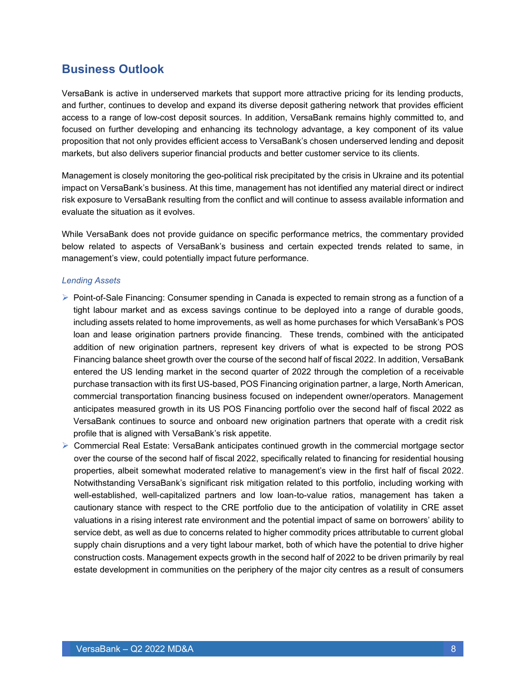### <span id="page-7-0"></span>**Business Outlook**

VersaBank is active in underserved markets that support more attractive pricing for its lending products, and further, continues to develop and expand its diverse deposit gathering network that provides efficient access to a range of low-cost deposit sources. In addition, VersaBank remains highly committed to, and focused on further developing and enhancing its technology advantage, a key component of its value proposition that not only provides efficient access to VersaBank's chosen underserved lending and deposit markets, but also delivers superior financial products and better customer service to its clients.

Management is closely monitoring the geo-political risk precipitated by the crisis in Ukraine and its potential impact on VersaBank's business. At this time, management has not identified any material direct or indirect risk exposure to VersaBank resulting from the conflict and will continue to assess available information and evaluate the situation as it evolves.

While VersaBank does not provide guidance on specific performance metrics, the commentary provided below related to aspects of VersaBank's business and certain expected trends related to same, in management's view, could potentially impact future performance.

#### *Lending Assets*

- ➢ Point-of-Sale Financing: Consumer spending in Canada is expected to remain strong as a function of a tight labour market and as excess savings continue to be deployed into a range of durable goods, including assets related to home improvements, as well as home purchases for which VersaBank's POS loan and lease origination partners provide financing. These trends, combined with the anticipated addition of new origination partners, represent key drivers of what is expected to be strong POS Financing balance sheet growth over the course of the second half of fiscal 2022. In addition, VersaBank entered the US lending market in the second quarter of 2022 through the completion of a receivable purchase transaction with its first US-based, POS Financing origination partner, a large, North American, commercial transportation financing business focused on independent owner/operators. Management anticipates measured growth in its US POS Financing portfolio over the second half of fiscal 2022 as VersaBank continues to source and onboard new origination partners that operate with a credit risk profile that is aligned with VersaBank's risk appetite.
- ➢ Commercial Real Estate: VersaBank anticipates continued growth in the commercial mortgage sector over the course of the second half of fiscal 2022, specifically related to financing for residential housing properties, albeit somewhat moderated relative to management's view in the first half of fiscal 2022. Notwithstanding VersaBank's significant risk mitigation related to this portfolio, including working with well-established, well-capitalized partners and low loan-to-value ratios, management has taken a cautionary stance with respect to the CRE portfolio due to the anticipation of volatility in CRE asset valuations in a rising interest rate environment and the potential impact of same on borrowers' ability to service debt, as well as due to concerns related to higher commodity prices attributable to current global supply chain disruptions and a very tight labour market, both of which have the potential to drive higher construction costs. Management expects growth in the second half of 2022 to be driven primarily by real estate development in communities on the periphery of the major city centres as a result of consumers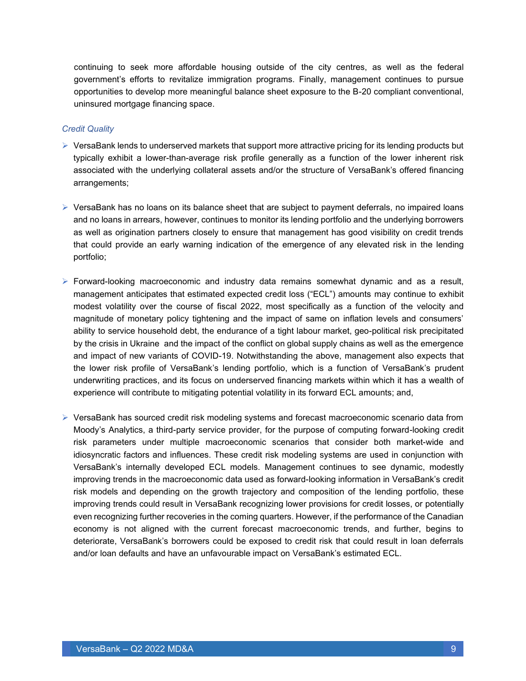continuing to seek more affordable housing outside of the city centres, as well as the federal government's efforts to revitalize immigration programs. Finally, management continues to pursue opportunities to develop more meaningful balance sheet exposure to the B-20 compliant conventional, uninsured mortgage financing space.

#### *Credit Quality*

- $\triangleright$  VersaBank lends to underserved markets that support more attractive pricing for its lending products but typically exhibit a lower-than-average risk profile generally as a function of the lower inherent risk associated with the underlying collateral assets and/or the structure of VersaBank's offered financing arrangements;
- ➢ VersaBank has no loans on its balance sheet that are subject to payment deferrals, no impaired loans and no loans in arrears, however, continues to monitor its lending portfolio and the underlying borrowers as well as origination partners closely to ensure that management has good visibility on credit trends that could provide an early warning indication of the emergence of any elevated risk in the lending portfolio;
- $\triangleright$  Forward-looking macroeconomic and industry data remains somewhat dynamic and as a result, management anticipates that estimated expected credit loss ("ECL") amounts may continue to exhibit modest volatility over the course of fiscal 2022, most specifically as a function of the velocity and magnitude of monetary policy tightening and the impact of same on inflation levels and consumers' ability to service household debt, the endurance of a tight labour market, geo-political risk precipitated by the crisis in Ukraine and the impact of the conflict on global supply chains as well as the emergence and impact of new variants of COVID-19. Notwithstanding the above, management also expects that the lower risk profile of VersaBank's lending portfolio, which is a function of VersaBank's prudent underwriting practices, and its focus on underserved financing markets within which it has a wealth of experience will contribute to mitigating potential volatility in its forward ECL amounts; and,
- ➢ VersaBank has sourced credit risk modeling systems and forecast macroeconomic scenario data from Moody's Analytics, a third-party service provider, for the purpose of computing forward-looking credit risk parameters under multiple macroeconomic scenarios that consider both market-wide and idiosyncratic factors and influences. These credit risk modeling systems are used in conjunction with VersaBank's internally developed ECL models. Management continues to see dynamic, modestly improving trends in the macroeconomic data used as forward-looking information in VersaBank's credit risk models and depending on the growth trajectory and composition of the lending portfolio, these improving trends could result in VersaBank recognizing lower provisions for credit losses, or potentially even recognizing further recoveries in the coming quarters. However, if the performance of the Canadian economy is not aligned with the current forecast macroeconomic trends, and further, begins to deteriorate, VersaBank's borrowers could be exposed to credit risk that could result in loan deferrals and/or loan defaults and have an unfavourable impact on VersaBank's estimated ECL.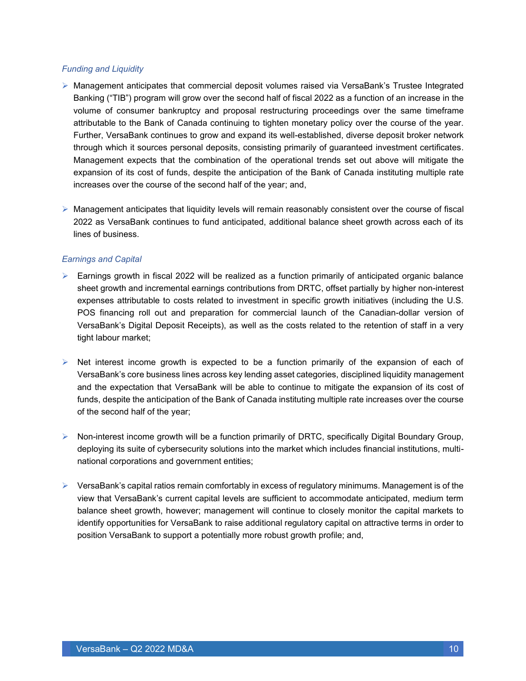#### *Funding and Liquidity*

- ➢ Management anticipates that commercial deposit volumes raised via VersaBank's Trustee Integrated Banking ("TIB") program will grow over the second half of fiscal 2022 as a function of an increase in the volume of consumer bankruptcy and proposal restructuring proceedings over the same timeframe attributable to the Bank of Canada continuing to tighten monetary policy over the course of the year. Further, VersaBank continues to grow and expand its well-established, diverse deposit broker network through which it sources personal deposits, consisting primarily of guaranteed investment certificates. Management expects that the combination of the operational trends set out above will mitigate the expansion of its cost of funds, despite the anticipation of the Bank of Canada instituting multiple rate increases over the course of the second half of the year; and,
- $\triangleright$  Management anticipates that liquidity levels will remain reasonably consistent over the course of fiscal 2022 as VersaBank continues to fund anticipated, additional balance sheet growth across each of its lines of business.

#### *Earnings and Capital*

- $\triangleright$  Earnings growth in fiscal 2022 will be realized as a function primarily of anticipated organic balance sheet growth and incremental earnings contributions from DRTC, offset partially by higher non-interest expenses attributable to costs related to investment in specific growth initiatives (including the U.S. POS financing roll out and preparation for commercial launch of the Canadian-dollar version of VersaBank's Digital Deposit Receipts), as well as the costs related to the retention of staff in a very tight labour market;
- $\triangleright$  Net interest income growth is expected to be a function primarily of the expansion of each of VersaBank's core business lines across key lending asset categories, disciplined liquidity management and the expectation that VersaBank will be able to continue to mitigate the expansion of its cost of funds, despite the anticipation of the Bank of Canada instituting multiple rate increases over the course of the second half of the year;
- ➢ Non-interest income growth will be a function primarily of DRTC, specifically Digital Boundary Group, deploying its suite of cybersecurity solutions into the market which includes financial institutions, multinational corporations and government entities;
- $\triangleright$  VersaBank's capital ratios remain comfortably in excess of regulatory minimums. Management is of the view that VersaBank's current capital levels are sufficient to accommodate anticipated, medium term balance sheet growth, however; management will continue to closely monitor the capital markets to identify opportunities for VersaBank to raise additional regulatory capital on attractive terms in order to position VersaBank to support a potentially more robust growth profile; and,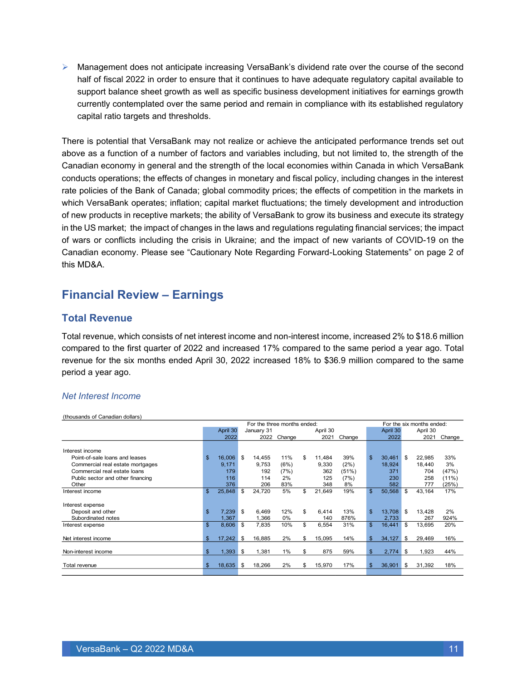➢ Management does not anticipate increasing VersaBank's dividend rate over the course of the second half of fiscal 2022 in order to ensure that it continues to have adequate regulatory capital available to support balance sheet growth as well as specific business development initiatives for earnings growth currently contemplated over the same period and remain in compliance with its established regulatory capital ratio targets and thresholds.

There is potential that VersaBank may not realize or achieve the anticipated performance trends set out above as a function of a number of factors and variables including, but not limited to, the strength of the Canadian economy in general and the strength of the local economies within Canada in which VersaBank conducts operations; the effects of changes in monetary and fiscal policy, including changes in the interest rate policies of the Bank of Canada; global commodity prices; the effects of competition in the markets in which VersaBank operates; inflation; capital market fluctuations; the timely development and introduction of new products in receptive markets; the ability of VersaBank to grow its business and execute its strategy in the US market; the impact of changes in the laws and regulations regulating financial services; the impact of wars or conflicts including the crisis in Ukraine; and the impact of new variants of COVID-19 on the Canadian economy. Please see "Cautionary Note Regarding Forward-Looking Statements" on page 2 of this MD&A.

### <span id="page-10-0"></span>**Financial Review – Earnings**

#### **Total Revenue**

Total revenue, which consists of net interest income and non-interest income, increased 2% to \$18.6 million compared to the first quarter of 2022 and increased 17% compared to the same period a year ago. Total revenue for the six months ended April 30, 2022 increased 18% to \$36.9 million compared to the same period a year ago.

#### *Net Interest Income*

(thousands of Canadian dollars)

|                                   |                |            |     | For the three months ended: |             |              |        | For the six months ended: |            |     |          |          |  |
|-----------------------------------|----------------|------------|-----|-----------------------------|-------------|--------------|--------|---------------------------|------------|-----|----------|----------|--|
|                                   |                | April 30   |     | January 31                  |             | April 30     |        |                           | April 30   |     | April 30 |          |  |
|                                   |                | 2022       |     |                             | 2022 Change | 2021         | Change |                           | 2022       |     | 2021     | Change   |  |
|                                   |                |            |     |                             |             |              |        |                           |            |     |          |          |  |
| Interest income                   |                |            |     |                             |             |              |        |                           |            |     |          |          |  |
| Point-of-sale loans and leases    | $\mathfrak{s}$ | 16,006     | \$  | 14.455                      | 11%         | \$<br>11,484 | 39%    | $\mathbf{s}$              | 30,461     | \$  | 22,985   | 33%      |  |
| Commercial real estate mortgages  |                | 9,171      |     | 9.753                       | (6%)        | 9,330        | (2%)   |                           | 18.924     |     | 18.440   | 3%       |  |
| Commercial real estate loans      |                | 179        |     | 192                         | (7%)        | 362          | (51%)  |                           | 371        |     | 704      | (47%)    |  |
| Public sector and other financing |                | 116        |     | 114                         | 2%          | 125          | (7%)   |                           | 230        |     | 258      | $(11\%)$ |  |
| Other                             |                | 376        |     | 206                         | 83%         | 348          | 8%     |                           | 582        |     | 777      | (25%)    |  |
| Interest income                   | $\mathfrak{S}$ | 25,848     | \$  | 24,720                      | 5%          | \$<br>21,649 | 19%    | $\mathbf{s}$              | 50,568     | -S  | 43,164   | 17%      |  |
|                                   |                |            |     |                             |             |              |        |                           |            |     |          |          |  |
| Interest expense                  |                |            |     |                             |             |              |        |                           |            |     |          |          |  |
| Deposit and other                 | $\mathfrak{s}$ | 7,239      | \$. | 6.469                       | 12%         | \$<br>6.414  | 13%    | $\mathbf{s}$              | 13.708     | -S  | 13.428   | 2%       |  |
| Subordinated notes                |                | 1,367      |     | 1,366                       | $0\%$       | 140          | 876%   |                           | 2,733      |     | 267      | 924%     |  |
| Interest expense                  | $\mathfrak{s}$ | 8,606      | \$. | 7,835                       | 10%         | \$<br>6,554  | 31%    | $\mathbf{s}$              | 16,441     | \$. | 13,695   | 20%      |  |
|                                   |                |            |     |                             |             |              |        |                           |            |     |          |          |  |
| Net interest income               | \$.            | 17,242     | \$  | 16,885                      | 2%          | \$<br>15,095 | 14%    | $\mathbf{s}$              | 34,127     | -\$ | 29,469   | 16%      |  |
|                                   |                |            |     |                             |             |              |        |                           |            |     |          |          |  |
| Non-interest income               | \$             | $1,393$ \$ |     | 1,381                       | 1%          | \$<br>875    | 59%    | \$                        | $2,774$ \$ |     | 1,923    | 44%      |  |
|                                   |                |            |     |                             |             |              |        |                           |            |     |          |          |  |
| Total revenue                     | \$.            | 18,635     | \$  | 18,266                      | 2%          | \$<br>15,970 | 17%    | $\mathbf{\$}$             | 36,901     | -\$ | 31,392   | 18%      |  |
|                                   |                |            |     |                             |             |              |        |                           |            |     |          |          |  |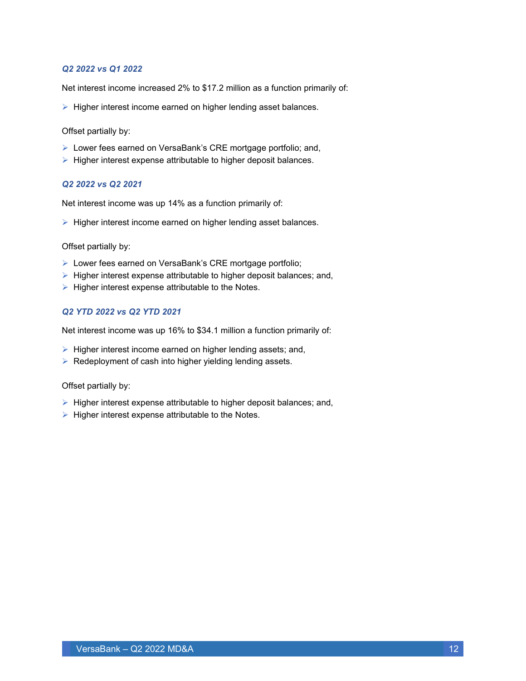#### *Q2 2022 vs Q1 2022*

Net interest income increased 2% to \$17.2 million as a function primarily of:

➢ Higher interest income earned on higher lending asset balances.

Offset partially by:

- ➢ Lower fees earned on VersaBank's CRE mortgage portfolio; and,
- ➢ Higher interest expense attributable to higher deposit balances.

#### *Q2 2022 vs Q2 2021*

Net interest income was up 14% as a function primarily of:

➢ Higher interest income earned on higher lending asset balances.

Offset partially by:

- ➢ Lower fees earned on VersaBank's CRE mortgage portfolio;
- $\triangleright$  Higher interest expense attributable to higher deposit balances; and,
- $\triangleright$  Higher interest expense attributable to the Notes.

#### *Q2 YTD 2022 vs Q2 YTD 2021*

Net interest income was up 16% to \$34.1 million a function primarily of:

- ➢ Higher interest income earned on higher lending assets; and,
- ➢ Redeployment of cash into higher yielding lending assets.

Offset partially by:

- $\triangleright$  Higher interest expense attributable to higher deposit balances; and,
- $\triangleright$  Higher interest expense attributable to the Notes.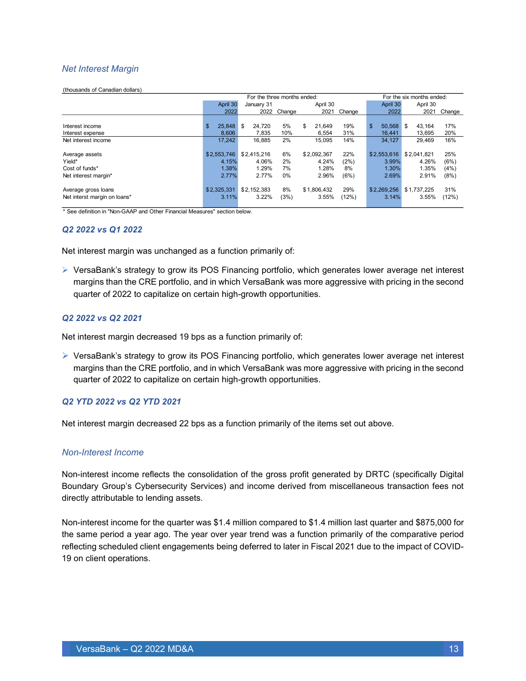#### *Net Interest Margin*

#### (thousands of Canadian dollars)

|                              |             |          | For the three months ended: |        |              |        | For the six months ended: |             |              |  |        |
|------------------------------|-------------|----------|-----------------------------|--------|--------------|--------|---------------------------|-------------|--------------|--|--------|
|                              |             | April 30 | January 31                  |        | April 30     |        |                           | April 30    | April 30     |  |        |
|                              |             | 2022     | 2022                        | Change | 2021         | Change |                           | 2022        | 2021         |  | Change |
|                              |             |          |                             |        |              |        |                           |             |              |  |        |
| Interest income              | \$          | 25.848   | 24.720<br>\$                | 5%     | \$<br>21.649 | 19%    | \$                        | 50.568      | \$<br>43.164 |  | 17%    |
| Interest expense             |             | 8.606    | 7.835                       | 10%    | 6.554        | 31%    |                           | 16,441      | 13.695       |  | 20%    |
| Net interest income          | 17.242      |          | 16,885                      | 2%     | 15,095       | 14%    |                           | 34.127      | 29.469       |  | 16%    |
|                              |             |          |                             |        |              |        |                           |             |              |  |        |
| Average assets               | \$2,553,746 |          | \$2.415.216                 | 6%     | \$2.092.367  | 22%    |                           | \$2,553,616 | \$2.041.821  |  | 25%    |
| Yield*                       |             | 4.15%    | 4.06%                       | 2%     | 4.24%        | (2%)   |                           | 3.99%       | 4.26%        |  | (6%)   |
| Cost of funds*               |             | 1.38%    | 1.29%                       | 7%     | 1.28%        | 8%     |                           | 1.30%       | 1.35%        |  | (4%)   |
| Net interest margin*         |             | 2.77%    | 2.77%                       | $0\%$  | 2.96%        | (6%)   |                           | 2.69%       | 2.91%        |  | (8%)   |
|                              |             |          |                             |        |              |        |                           |             |              |  |        |
| Average gross loans          | \$2,325,331 |          | \$2.152.383                 | 8%     | \$1.806.432  | 29%    |                           | \$2,269,256 | \$1.737.225  |  | 31%    |
| Net interst margin on loans* |             | 3.11%    | 3.22%                       | (3%)   | 3.55%        | (12%)  |                           | 3.14%       | 3.55%        |  | (12%)  |
|                              |             |          |                             |        |              |        |                           |             |              |  |        |

\* See definition in "Non-GAAP and Other Financial Measures" section below.

#### *Q2 2022 vs Q1 2022*

Net interest margin was unchanged as a function primarily of:

➢ VersaBank's strategy to grow its POS Financing portfolio, which generates lower average net interest margins than the CRE portfolio, and in which VersaBank was more aggressive with pricing in the second quarter of 2022 to capitalize on certain high-growth opportunities.

#### *Q2 2022 vs Q2 2021*

Net interest margin decreased 19 bps as a function primarily of:

➢ VersaBank's strategy to grow its POS Financing portfolio, which generates lower average net interest margins than the CRE portfolio, and in which VersaBank was more aggressive with pricing in the second quarter of 2022 to capitalize on certain high-growth opportunities.

#### *Q2 YTD 2022 vs Q2 YTD 2021*

Net interest margin decreased 22 bps as a function primarily of the items set out above.

#### *Non-Interest Income*

Non-interest income reflects the consolidation of the gross profit generated by DRTC (specifically Digital Boundary Group's Cybersecurity Services) and income derived from miscellaneous transaction fees not directly attributable to lending assets.

Non-interest income for the quarter was \$1.4 million compared to \$1.4 million last quarter and \$875,000 for the same period a year ago. The year over year trend was a function primarily of the comparative period reflecting scheduled client engagements being deferred to later in Fiscal 2021 due to the impact of COVID-19 on client operations.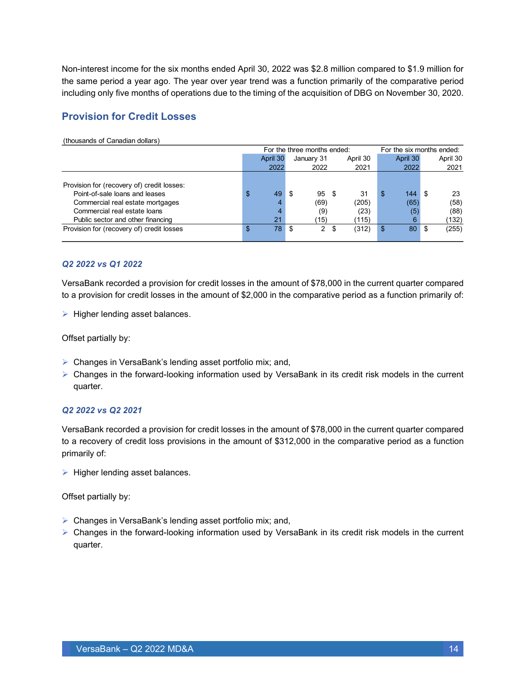Non-interest income for the six months ended April 30, 2022 was \$2.8 million compared to \$1.9 million for the same period a year ago. The year over year trend was a function primarily of the comparative period including only five months of operations due to the timing of the acquisition of DBG on November 30, 2020.

#### **Provision for Credit Losses**

#### (thousands of Canadian dollars)

|                                            |          |      | For the three months ended: | For the six months ended: |          |    |          |      |          |
|--------------------------------------------|----------|------|-----------------------------|---------------------------|----------|----|----------|------|----------|
|                                            | April 30 |      | January 31                  |                           | April 30 |    | April 30 |      | April 30 |
|                                            | 2022     |      | 2022                        |                           | 2021     |    | 2022     |      | 2021     |
|                                            |          |      |                             |                           |          |    |          |      |          |
| Provision for (recovery of) credit losses: |          |      |                             |                           |          |    |          |      |          |
| Point-of-sale loans and leases             | \$<br>49 | - \$ | 95                          | - \$                      | 31       | \$ | 144      | - 35 | 23       |
| Commercial real estate mortgages           | 4        |      | (69)                        |                           | (205)    |    | (65)     |      | (58)     |
| Commercial real estate loans               | 4        |      | (9)                         |                           | (23)     |    | (5       |      | (88)     |
| Public sector and other financing          | 21       |      | 15)                         |                           | (115)    |    | 6        |      | (132)    |
| Provision for (recovery of) credit losses  | \$<br>78 | - \$ | 2                           | - 35                      | (312)    | S  | 80       |      | (255)    |
|                                            |          |      |                             |                           |          |    |          |      |          |

#### *Q2 2022 vs Q1 2022*

VersaBank recorded a provision for credit losses in the amount of \$78,000 in the current quarter compared to a provision for credit losses in the amount of \$2,000 in the comparative period as a function primarily of:

➢ Higher lending asset balances.

Offset partially by:

- ➢ Changes in VersaBank's lending asset portfolio mix; and,
- $\triangleright$  Changes in the forward-looking information used by VersaBank in its credit risk models in the current quarter.

#### *Q2 2022 vs Q2 2021*

VersaBank recorded a provision for credit losses in the amount of \$78,000 in the current quarter compared to a recovery of credit loss provisions in the amount of \$312,000 in the comparative period as a function primarily of:

 $\triangleright$  Higher lending asset balances.

Offset partially by:

- ➢ Changes in VersaBank's lending asset portfolio mix; and,
- ➢ Changes in the forward-looking information used by VersaBank in its credit risk models in the current quarter.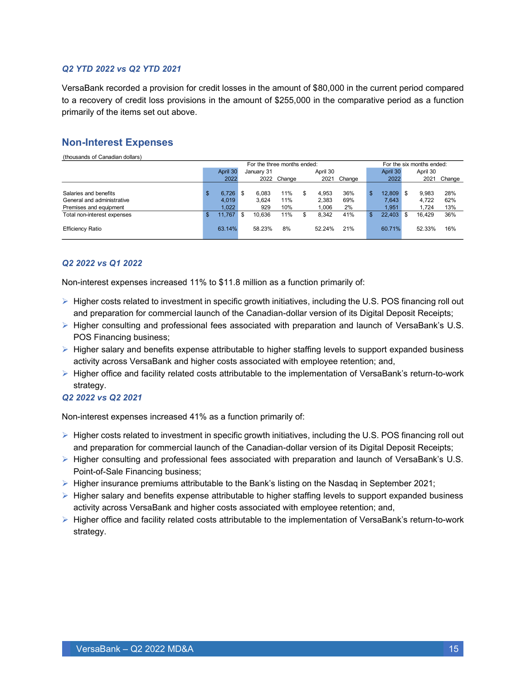#### *Q2 YTD 2022 vs Q2 YTD 2021*

VersaBank recorded a provision for credit losses in the amount of \$80,000 in the current period compared to a recovery of credit loss provisions in the amount of \$255,000 in the comparative period as a function primarily of the items set out above.

### **Non-Interest Expenses**

(thousands of Canadian dollars)

|                             |                  |   | For the three months ended: |             |   |          |             | For the six months ended: |          |    |          |        |  |
|-----------------------------|------------------|---|-----------------------------|-------------|---|----------|-------------|---------------------------|----------|----|----------|--------|--|
|                             | April 30         |   | January 31                  |             |   | April 30 |             |                           | April 30 |    | April 30 |        |  |
|                             | 2022             |   |                             | 2022 Change |   |          | 2021 Change |                           | 2022     |    | 2021     | Change |  |
|                             |                  |   |                             |             |   |          |             |                           |          |    |          |        |  |
| Salaries and benefits       | \$<br>$6,726$ \$ |   | 6.083                       | 11%         | S | 4.953    | 36%         | \$                        | 12.809   | \$ | 9.983    | 28%    |  |
| General and administrative  | 4.019            |   | 3.624                       | 11%         |   | 2.383    | 69%         |                           | 7.643    |    | 4.722    | 62%    |  |
| Premises and equipment      | 1.022            |   | 929                         | 10%         |   | 1.006    | 2%          |                           | 1.951    |    | 1.724    | 13%    |  |
| Total non-interest expenses | \$<br>11.767     | S | 10.636                      | 11%         | S | 8.342    | 41%         | \$                        | 22,403   |    | 16.429   | 36%    |  |
|                             |                  |   |                             |             |   |          |             |                           |          |    |          |        |  |
| Efficiency Ratio            | 63.14%           |   | 58.23%                      | 8%          |   | 52.24%   | 21%         |                           | 60.71%   |    | 52.33%   | 16%    |  |
|                             |                  |   |                             |             |   |          |             |                           |          |    |          |        |  |

#### *Q2 2022 vs Q1 2022*

Non-interest expenses increased 11% to \$11.8 million as a function primarily of:

- $\triangleright$  Higher costs related to investment in specific growth initiatives, including the U.S. POS financing roll out and preparation for commercial launch of the Canadian-dollar version of its Digital Deposit Receipts;
- ➢ Higher consulting and professional fees associated with preparation and launch of VersaBank's U.S. POS Financing business;
- $\triangleright$  Higher salary and benefits expense attributable to higher staffing levels to support expanded business activity across VersaBank and higher costs associated with employee retention; and,
- ➢ Higher office and facility related costs attributable to the implementation of VersaBank's return-to-work strategy.

*Q2 2022 vs Q2 2021*

Non-interest expenses increased 41% as a function primarily of:

- $\triangleright$  Higher costs related to investment in specific growth initiatives, including the U.S. POS financing roll out and preparation for commercial launch of the Canadian-dollar version of its Digital Deposit Receipts;
- ➢ Higher consulting and professional fees associated with preparation and launch of VersaBank's U.S. Point-of-Sale Financing business;
- $\triangleright$  Higher insurance premiums attributable to the Bank's listing on the Nasdag in September 2021;
- ➢ Higher salary and benefits expense attributable to higher staffing levels to support expanded business activity across VersaBank and higher costs associated with employee retention; and,
- ➢ Higher office and facility related costs attributable to the implementation of VersaBank's return-to-work strategy.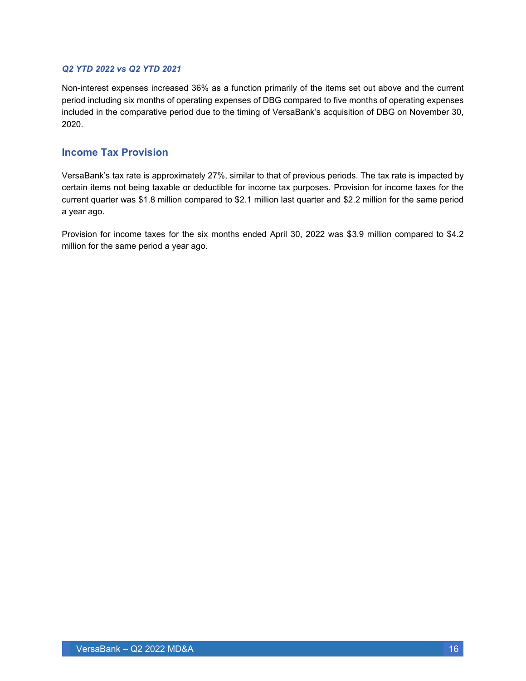#### *Q2 YTD 2022 vs Q2 YTD 2021*

Non-interest expenses increased 36% as a function primarily of the items set out above and the current period including six months of operating expenses of DBG compared to five months of operating expenses included in the comparative period due to the timing of VersaBank's acquisition of DBG on November 30, 2020.

#### **Income Tax Provision**

VersaBank's tax rate is approximately 27%, similar to that of previous periods. The tax rate is impacted by certain items not being taxable or deductible for income tax purposes. Provision for income taxes for the current quarter was \$1.8 million compared to \$2.1 million last quarter and \$2.2 million for the same period a year ago.

Provision for income taxes for the six months ended April 30, 2022 was \$3.9 million compared to \$4.2 million for the same period a year ago.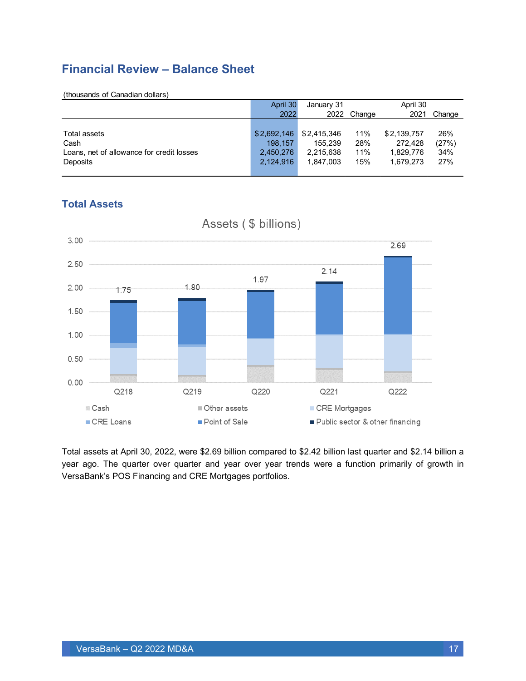### <span id="page-16-0"></span>**Financial Review – Balance Sheet**

| (thousands of Canadian dollars)           |             |             |             |             |        |
|-------------------------------------------|-------------|-------------|-------------|-------------|--------|
|                                           | April 30    | January 31  |             | April 30    |        |
|                                           | 2022        |             | 2022 Change | 2021        | Change |
|                                           |             |             |             |             |        |
| Total assets                              | \$2,692,146 | \$2,415,346 | 11%         | \$2,139,757 | 26%    |
| Cash                                      | 198.157     | 155.239     | 28%         | 272.428     | (27%)  |
| Loans, net of allowance for credit losses | 2,450,276   | 2,215,638   | 11%         | 1,829,776   | 34%    |
| Deposits                                  | 2,124,916   | 1.847.003   | 15%         | 1.679.273   | 27%    |
|                                           |             |             |             |             |        |

## **Total Assets**



Total assets at April 30, 2022, were \$2.69 billion compared to \$2.42 billion last quarter and \$2.14 billion a year ago. The quarter over quarter and year over year trends were a function primarily of growth in

VersaBank's POS Financing and CRE Mortgages portfolios.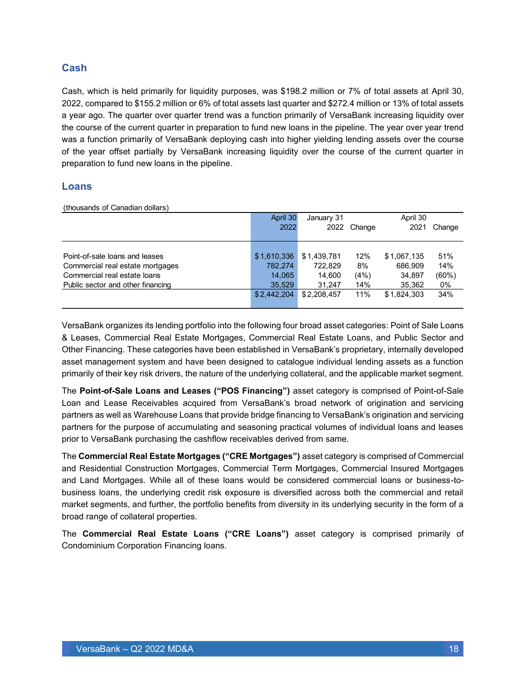#### **Cash**

Cash, which is held primarily for liquidity purposes, was \$198.2 million or 7% of total assets at April 30, 2022, compared to \$155.2 million or 6% of total assets last quarter and \$272.4 million or 13% of total assets a year ago. The quarter over quarter trend was a function primarily of VersaBank increasing liquidity over the course of the current quarter in preparation to fund new loans in the pipeline. The year over year trend was a function primarily of VersaBank deploying cash into higher yielding lending assets over the course of the year offset partially by VersaBank increasing liquidity over the course of the current quarter in preparation to fund new loans in the pipeline.

#### **Loans**

(thousands of Canadian dollars)

|                                   | April 30    | January 31  |        | April 30    |        |
|-----------------------------------|-------------|-------------|--------|-------------|--------|
|                                   | 2022        | 2022        | Change | 2021        | Change |
|                                   |             |             |        |             |        |
|                                   |             |             |        |             |        |
| Point-of-sale loans and leases    | \$1,610,336 | \$1,439,781 | 12%    | \$1,067,135 | 51%    |
| Commercial real estate mortgages  | 782.274     | 722.829     | 8%     | 686.909     | 14%    |
| Commercial real estate loans      | 14,065      | 14,600      | (4%)   | 34,897      | (60%)  |
| Public sector and other financing | 35.529      | 31.247      | 14%    | 35,362      | 0%     |
|                                   | \$2.442.204 | \$2.208.457 | 11%    | \$1,824,303 | 34%    |
|                                   |             |             |        |             |        |

VersaBank organizes its lending portfolio into the following four broad asset categories: Point of Sale Loans & Leases, Commercial Real Estate Mortgages, Commercial Real Estate Loans, and Public Sector and Other Financing. These categories have been established in VersaBank's proprietary, internally developed asset management system and have been designed to catalogue individual lending assets as a function primarily of their key risk drivers, the nature of the underlying collateral, and the applicable market segment.

The **Point-of-Sale Loans and Leases ("POS Financing")** asset category is comprised of Point-of-Sale Loan and Lease Receivables acquired from VersaBank's broad network of origination and servicing partners as well as Warehouse Loans that provide bridge financing to VersaBank's origination and servicing partners for the purpose of accumulating and seasoning practical volumes of individual loans and leases prior to VersaBank purchasing the cashflow receivables derived from same.

The **Commercial Real Estate Mortgages ("CRE Mortgages")** asset category is comprised of Commercial and Residential Construction Mortgages, Commercial Term Mortgages, Commercial Insured Mortgages and Land Mortgages. While all of these loans would be considered commercial loans or business-tobusiness loans, the underlying credit risk exposure is diversified across both the commercial and retail market segments, and further, the portfolio benefits from diversity in its underlying security in the form of a broad range of collateral properties.

The **Commercial Real Estate Loans ("CRE Loans")** asset category is comprised primarily of Condominium Corporation Financing loans.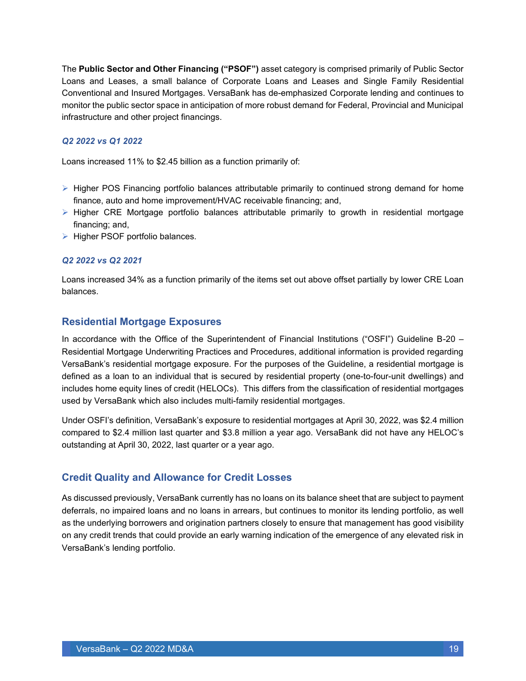The **Public Sector and Other Financing ("PSOF")** asset category is comprised primarily of Public Sector Loans and Leases, a small balance of Corporate Loans and Leases and Single Family Residential Conventional and Insured Mortgages. VersaBank has de-emphasized Corporate lending and continues to monitor the public sector space in anticipation of more robust demand for Federal, Provincial and Municipal infrastructure and other project financings.

#### *Q2 2022 vs Q1 2022*

Loans increased 11% to \$2.45 billion as a function primarily of:

- ➢ Higher POS Financing portfolio balances attributable primarily to continued strong demand for home finance, auto and home improvement/HVAC receivable financing; and,
- ➢ Higher CRE Mortgage portfolio balances attributable primarily to growth in residential mortgage financing; and,
- ➢ Higher PSOF portfolio balances.

#### *Q2 2022 vs Q2 2021*

Loans increased 34% as a function primarily of the items set out above offset partially by lower CRE Loan balances.

#### **Residential Mortgage Exposures**

In accordance with the Office of the Superintendent of Financial Institutions ("OSFI") Guideline B-20 – Residential Mortgage Underwriting Practices and Procedures, additional information is provided regarding VersaBank's residential mortgage exposure. For the purposes of the Guideline, a residential mortgage is defined as a loan to an individual that is secured by residential property (one-to-four-unit dwellings) and includes home equity lines of credit (HELOCs). This differs from the classification of residential mortgages used by VersaBank which also includes multi-family residential mortgages.

Under OSFI's definition, VersaBank's exposure to residential mortgages at April 30, 2022, was \$2.4 million compared to \$2.4 million last quarter and \$3.8 million a year ago. VersaBank did not have any HELOC's outstanding at April 30, 2022, last quarter or a year ago.

#### **Credit Quality and Allowance for Credit Losses**

As discussed previously, VersaBank currently has no loans on its balance sheet that are subject to payment deferrals, no impaired loans and no loans in arrears, but continues to monitor its lending portfolio, as well as the underlying borrowers and origination partners closely to ensure that management has good visibility on any credit trends that could provide an early warning indication of the emergence of any elevated risk in VersaBank's lending portfolio.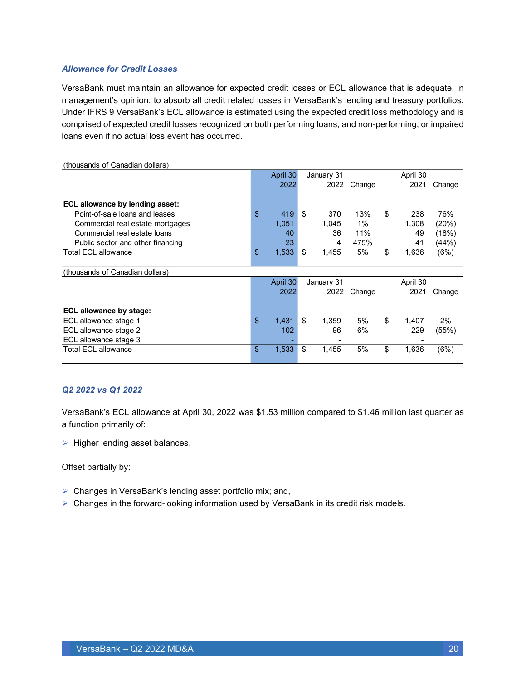#### *Allowance for Credit Losses*

VersaBank must maintain an allowance for expected credit losses or ECL allowance that is adequate, in management's opinion, to absorb all credit related losses in VersaBank's lending and treasury portfolios. Under IFRS 9 VersaBank's ECL allowance is estimated using the expected credit loss methodology and is comprised of expected credit losses recognized on both performing loans, and non-performing, or impaired loans even if no actual loss event has occurred.

| (Uluusalius Ul Galiaulali uullals) |             |             |        |             |        |
|------------------------------------|-------------|-------------|--------|-------------|--------|
|                                    | April 30    | January 31  |        | April 30    |        |
|                                    | 2022        | 2022        | Change | 2021        | Change |
|                                    |             |             |        |             |        |
| ECL allowance by lending asset:    |             |             |        |             |        |
| Point-of-sale loans and leases     | \$<br>419   | \$<br>370   | 13%    | \$<br>238   | 76%    |
| Commercial real estate mortgages   | 1,051       | 1,045       | 1%     | 1,308       | (20%)  |
| Commercial real estate loans       | 40          | 36          | 11%    | 49          | (18%)  |
| Public sector and other financing  | 23          | 4           | 475%   | 41          | (44%)  |
| <b>Total ECL allowance</b>         | \$<br>1,533 | \$<br>1,455 | 5%     | \$<br>1,636 | (6%)   |
|                                    |             |             |        |             |        |
| (thousands of Canadian dollars)    |             |             |        |             |        |
|                                    | April 30    | January 31  |        | April 30    |        |
|                                    | 2022        | 2022        | Change | 2021        | Change |
|                                    |             |             |        |             |        |
| ECL allowance by stage:            |             |             |        |             |        |
| ECL allowance stage 1              | \$<br>1,431 | \$<br>1,359 | 5%     | \$<br>1,407 | 2%     |
| ECL allowance stage 2              | 102         | 96          | 6%     | 229         | (55%)  |
| ECL allowance stage 3              |             |             |        |             |        |
| <b>Total ECL allowance</b>         | \$<br>1,533 | \$<br>1,455 | 5%     | \$<br>1,636 | (6%)   |
|                                    |             |             |        |             |        |

(thousands of Canadian dollars)

#### *Q2 2022 vs Q1 2022*

VersaBank's ECL allowance at April 30, 2022 was \$1.53 million compared to \$1.46 million last quarter as a function primarily of:

➢ Higher lending asset balances.

Offset partially by:

- ➢ Changes in VersaBank's lending asset portfolio mix; and,
- ➢ Changes in the forward-looking information used by VersaBank in its credit risk models.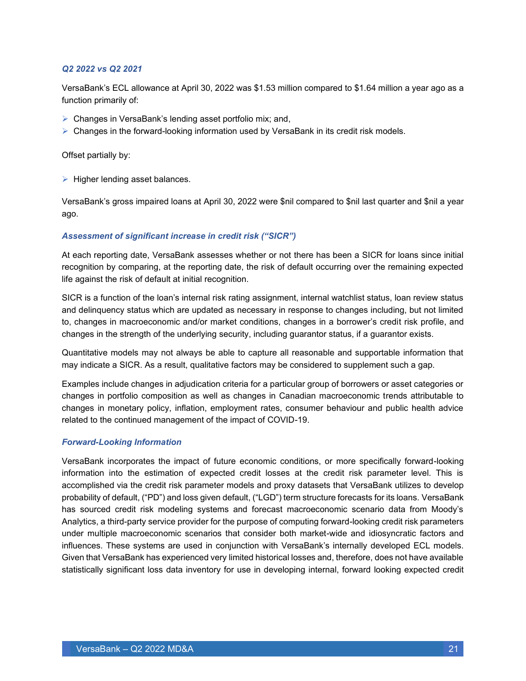#### *Q2 2022 vs Q2 2021*

VersaBank's ECL allowance at April 30, 2022 was \$1.53 million compared to \$1.64 million a year ago as a function primarily of:

- ➢ Changes in VersaBank's lending asset portfolio mix; and,
- $\triangleright$  Changes in the forward-looking information used by VersaBank in its credit risk models.

Offset partially by:

 $\triangleright$  Higher lending asset balances.

VersaBank's gross impaired loans at April 30, 2022 were \$nil compared to \$nil last quarter and \$nil a year ago.

#### *Assessment of significant increase in credit risk ("SICR")*

At each reporting date, VersaBank assesses whether or not there has been a SICR for loans since initial recognition by comparing, at the reporting date, the risk of default occurring over the remaining expected life against the risk of default at initial recognition.

SICR is a function of the loan's internal risk rating assignment, internal watchlist status, loan review status and delinquency status which are updated as necessary in response to changes including, but not limited to, changes in macroeconomic and/or market conditions, changes in a borrower's credit risk profile, and changes in the strength of the underlying security, including guarantor status, if a guarantor exists.

Quantitative models may not always be able to capture all reasonable and supportable information that may indicate a SICR. As a result, qualitative factors may be considered to supplement such a gap.

Examples include changes in adjudication criteria for a particular group of borrowers or asset categories or changes in portfolio composition as well as changes in Canadian macroeconomic trends attributable to changes in monetary policy, inflation, employment rates, consumer behaviour and public health advice related to the continued management of the impact of COVID-19.

#### *Forward-Looking Information*

VersaBank incorporates the impact of future economic conditions, or more specifically forward-looking information into the estimation of expected credit losses at the credit risk parameter level. This is accomplished via the credit risk parameter models and proxy datasets that VersaBank utilizes to develop probability of default, ("PD") and loss given default, ("LGD") term structure forecasts for its loans. VersaBank has sourced credit risk modeling systems and forecast macroeconomic scenario data from Moody's Analytics, a third-party service provider for the purpose of computing forward-looking credit risk parameters under multiple macroeconomic scenarios that consider both market-wide and idiosyncratic factors and influences. These systems are used in conjunction with VersaBank's internally developed ECL models. Given that VersaBank has experienced very limited historical losses and, therefore, does not have available statistically significant loss data inventory for use in developing internal, forward looking expected credit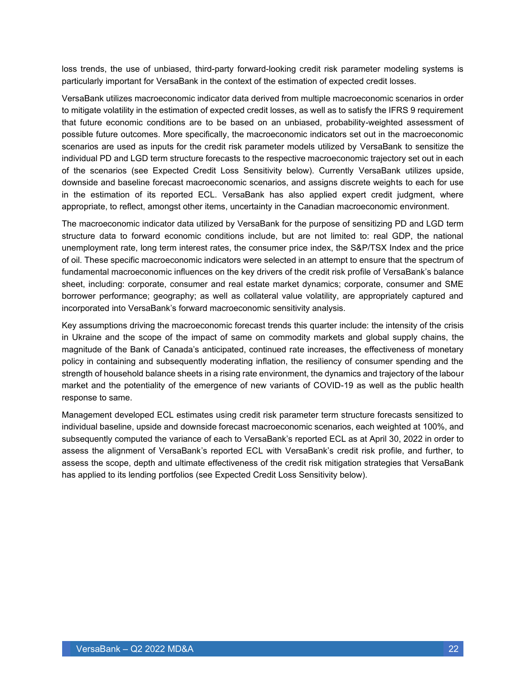loss trends, the use of unbiased, third-party forward-looking credit risk parameter modeling systems is particularly important for VersaBank in the context of the estimation of expected credit losses.

VersaBank utilizes macroeconomic indicator data derived from multiple macroeconomic scenarios in order to mitigate volatility in the estimation of expected credit losses, as well as to satisfy the IFRS 9 requirement that future economic conditions are to be based on an unbiased, probability-weighted assessment of possible future outcomes. More specifically, the macroeconomic indicators set out in the macroeconomic scenarios are used as inputs for the credit risk parameter models utilized by VersaBank to sensitize the individual PD and LGD term structure forecasts to the respective macroeconomic trajectory set out in each of the scenarios (see Expected Credit Loss Sensitivity below). Currently VersaBank utilizes upside, downside and baseline forecast macroeconomic scenarios, and assigns discrete weights to each for use in the estimation of its reported ECL. VersaBank has also applied expert credit judgment, where appropriate, to reflect, amongst other items, uncertainty in the Canadian macroeconomic environment.

The macroeconomic indicator data utilized by VersaBank for the purpose of sensitizing PD and LGD term structure data to forward economic conditions include, but are not limited to: real GDP, the national unemployment rate, long term interest rates, the consumer price index, the S&P/TSX Index and the price of oil. These specific macroeconomic indicators were selected in an attempt to ensure that the spectrum of fundamental macroeconomic influences on the key drivers of the credit risk profile of VersaBank's balance sheet, including: corporate, consumer and real estate market dynamics; corporate, consumer and SME borrower performance; geography; as well as collateral value volatility, are appropriately captured and incorporated into VersaBank's forward macroeconomic sensitivity analysis.

Key assumptions driving the macroeconomic forecast trends this quarter include: the intensity of the crisis in Ukraine and the scope of the impact of same on commodity markets and global supply chains, the magnitude of the Bank of Canada's anticipated, continued rate increases, the effectiveness of monetary policy in containing and subsequently moderating inflation, the resiliency of consumer spending and the strength of household balance sheets in a rising rate environment, the dynamics and trajectory of the labour market and the potentiality of the emergence of new variants of COVID-19 as well as the public health response to same.

Management developed ECL estimates using credit risk parameter term structure forecasts sensitized to individual baseline, upside and downside forecast macroeconomic scenarios, each weighted at 100%, and subsequently computed the variance of each to VersaBank's reported ECL as at April 30, 2022 in order to assess the alignment of VersaBank's reported ECL with VersaBank's credit risk profile, and further, to assess the scope, depth and ultimate effectiveness of the credit risk mitigation strategies that VersaBank has applied to its lending portfolios (see Expected Credit Loss Sensitivity below).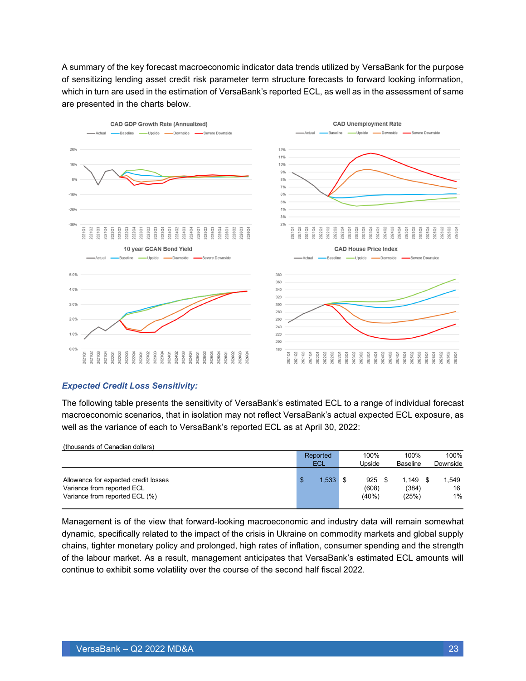A summary of the key forecast macroeconomic indicator data trends utilized by VersaBank for the purpose of sensitizing lending asset credit risk parameter term structure forecasts to forward looking information, which in turn are used in the estimation of VersaBank's reported ECL, as well as in the assessment of same are presented in the charts below.



#### *Expected Credit Loss Sensitivity:*

The following table presents the sensitivity of VersaBank's estimated ECL to a range of individual forecast macroeconomic scenarios, that in isolation may not reflect VersaBank's actual expected ECL exposure, as well as the variance of each to VersaBank's reported ECL as at April 30, 2022:

| (thousands of Canadian dollars)                                                                      |                 |        |                          |                         |                      |
|------------------------------------------------------------------------------------------------------|-----------------|--------|--------------------------|-------------------------|----------------------|
|                                                                                                      | Reported        |        | 100%                     | 100%                    | 100%                 |
|                                                                                                      | ECL             | Upside |                          | <b>Baseline</b>         | Downside             |
| Allowance for expected credit losses<br>Variance from reported ECL<br>Variance from reported ECL (%) | $1.533$ \$<br>S |        | 925<br>(608)<br>$(40\%)$ | 1.149<br>(384)<br>(25%) | 1.549<br>16<br>$1\%$ |

Management is of the view that forward-looking macroeconomic and industry data will remain somewhat dynamic, specifically related to the impact of the crisis in Ukraine on commodity markets and global supply chains, tighter monetary policy and prolonged, high rates of inflation, consumer spending and the strength of the labour market. As a result, management anticipates that VersaBank's estimated ECL amounts will continue to exhibit some volatility over the course of the second half fiscal 2022.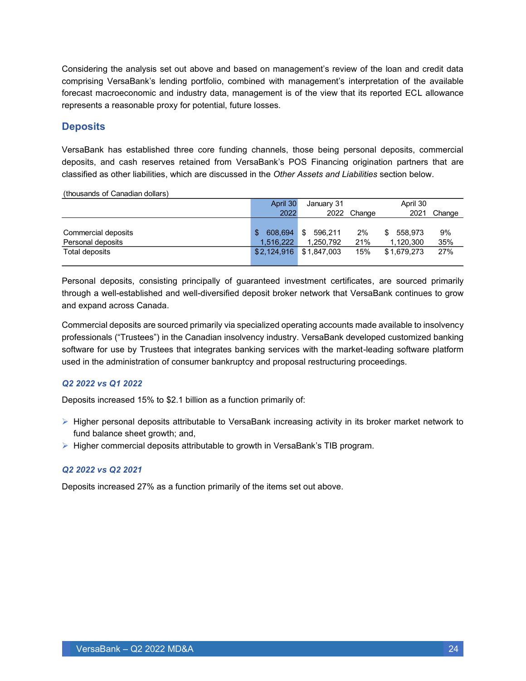Considering the analysis set out above and based on management's review of the loan and credit data comprising VersaBank's lending portfolio, combined with management's interpretation of the available forecast macroeconomic and industry data, management is of the view that its reported ECL allowance represents a reasonable proxy for potential, future losses.

#### **Deposits**

VersaBank has established three core funding channels, those being personal deposits, commercial deposits, and cash reserves retained from VersaBank's POS Financing origination partners that are classified as other liabilities, which are discussed in the *Other Assets and Liabilities* section below.

(thousands of Canadian dollars)

|                     | April 30      | January 31     |             | April 30      |        |
|---------------------|---------------|----------------|-------------|---------------|--------|
|                     | 2022          |                | 2022 Change | 2021          | Change |
|                     |               |                |             |               |        |
| Commercial deposits | \$<br>608.694 | 596.211<br>\$. | 2%          | 558.973<br>\$ | 9%     |
| Personal deposits   | 1.516.222     | 1.250.792      | 21%         | 1.120.300     | 35%    |
| Total deposits      | \$2,124,916   | \$1.847.003    | 15%         | \$1.679.273   | 27%    |
|                     |               |                |             |               |        |

Personal deposits, consisting principally of guaranteed investment certificates, are sourced primarily through a well-established and well-diversified deposit broker network that VersaBank continues to grow and expand across Canada.

Commercial deposits are sourced primarily via specialized operating accounts made available to insolvency professionals ("Trustees") in the Canadian insolvency industry. VersaBank developed customized banking software for use by Trustees that integrates banking services with the market-leading software platform used in the administration of consumer bankruptcy and proposal restructuring proceedings.

#### *Q2 2022 vs Q1 2022*

Deposits increased 15% to \$2.1 billion as a function primarily of:

- ➢ Higher personal deposits attributable to VersaBank increasing activity in its broker market network to fund balance sheet growth; and,
- ➢ Higher commercial deposits attributable to growth in VersaBank's TIB program.

#### *Q2 2022 vs Q2 2021*

Deposits increased 27% as a function primarily of the items set out above.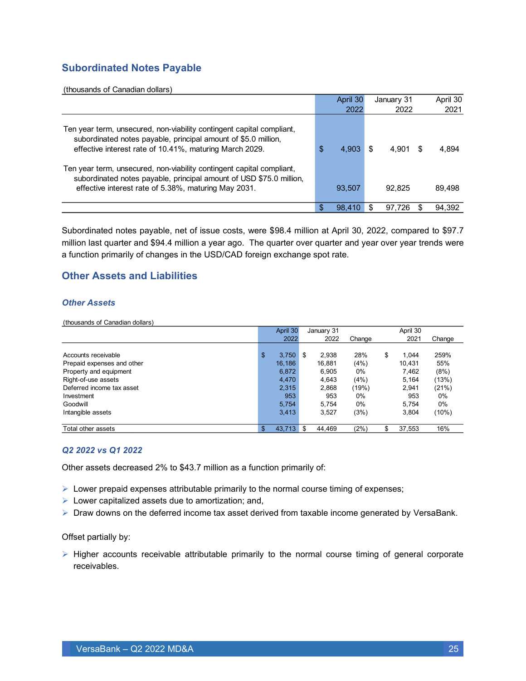### **Subordinated Notes Payable**

(thousands of Canadian dollars)

|                                                                                                                                                                                                                                                                                                                                                    | April 30    | January 31 | April 30 |
|----------------------------------------------------------------------------------------------------------------------------------------------------------------------------------------------------------------------------------------------------------------------------------------------------------------------------------------------------|-------------|------------|----------|
|                                                                                                                                                                                                                                                                                                                                                    | 2022        | 2022       | 2021     |
| Ten year term, unsecured, non-viability contingent capital compliant,<br>subordinated notes payable, principal amount of \$5.0 million,<br>effective interest rate of 10.41%, maturing March 2029.<br>Ten year term, unsecured, non-viability contingent capital compliant,<br>subordinated notes payable, principal amount of USD \$75.0 million, | \$<br>4.903 | 4.901      | 4,894    |
| effective interest rate of 5.38%, maturing May 2031.                                                                                                                                                                                                                                                                                               | 93,507      | 92.825     | 89.498   |
|                                                                                                                                                                                                                                                                                                                                                    | 98.410      | 97.726     | 94.392   |

Subordinated notes payable, net of issue costs, were \$98.4 million at April 30, 2022, compared to \$97.7 million last quarter and \$94.4 million a year ago. The quarter over quarter and year over year trends were a function primarily of changes in the USD/CAD foreign exchange spot rate.

### **Other Assets and Liabilities**

#### *Other Assets*

(thousands of Canadian dollars)

|                            | April 30    |      | January 31 |        | April 30     |        |
|----------------------------|-------------|------|------------|--------|--------------|--------|
|                            | 2022        |      | 2022       | Change | 2021         | Change |
|                            |             |      |            |        |              |        |
| Accounts receivable        | \$<br>3,750 | S    | 2.938      | 28%    | \$<br>1.044  | 259%   |
| Prepaid expenses and other | 16.186      |      | 16,881     | (4%)   | 10.431       | 55%    |
| Property and equipment     | 6,872       |      | 6,905      | $0\%$  | 7,462        | (8%)   |
| Right-of-use assets        | 4,470       |      | 4,643      | (4%)   | 5,164        | (13%)  |
| Deferred income tax asset  | 2,315       |      | 2,868      | (19%)  | 2.941        | (21%)  |
| Investment                 | 953         |      | 953        | $0\%$  | 953          | $0\%$  |
| Goodwill                   | 5,754       |      | 5.754      | 0%     | 5,754        | $0\%$  |
| Intangible assets          | 3.413       |      | 3.527      | (3%)   | 3.804        | (10%)  |
|                            |             |      |            |        |              |        |
| Total other assets         | 43.713      | - \$ | 44.469     | (2%)   | \$<br>37,553 | 16%    |

#### *Q2 2022 vs Q1 2022*

Other assets decreased 2% to \$43.7 million as a function primarily of:

- $\triangleright$  Lower prepaid expenses attributable primarily to the normal course timing of expenses;
- $\triangleright$  Lower capitalized assets due to amortization; and,
- ➢ Draw downs on the deferred income tax asset derived from taxable income generated by VersaBank.

#### Offset partially by:

➢ Higher accounts receivable attributable primarily to the normal course timing of general corporate receivables.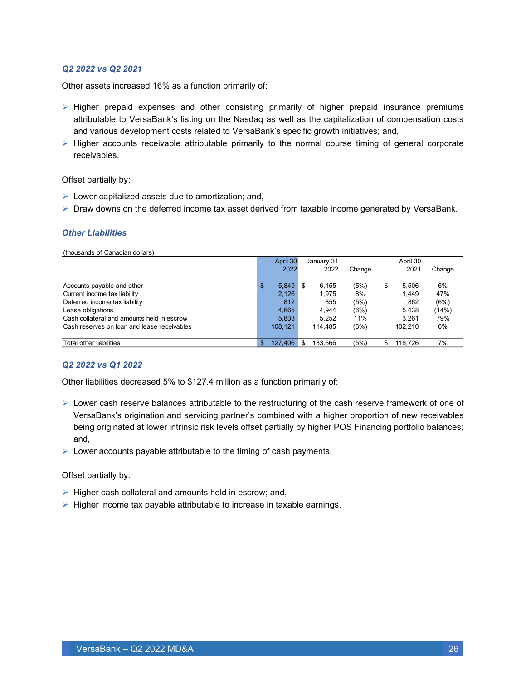#### *Q2 2022 vs Q2 2021*

Other assets increased 16% as a function primarily of:

- ➢ Higher prepaid expenses and other consisting primarily of higher prepaid insurance premiums attributable to VersaBank's listing on the Nasdaq as well as the capitalization of compensation costs and various development costs related to VersaBank's specific growth initiatives; and,
- $\triangleright$  Higher accounts receivable attributable primarily to the normal course timing of general corporate receivables.

Offset partially by:

- $\triangleright$  Lower capitalized assets due to amortization; and,
- $\triangleright$  Draw downs on the deferred income tax asset derived from taxable income generated by VersaBank.

#### *Other Liabilities*

(thousands of Canadian dollars)

|                                             | April 30      | January 31 |        | April 30      |        |
|---------------------------------------------|---------------|------------|--------|---------------|--------|
|                                             | 2022          | 2022       | Change | 2021          | Change |
|                                             |               |            |        |               |        |
| Accounts payable and other                  | \$<br>5,849   | 6,155      | (5%)   | \$<br>5.506   | 6%     |
| Current income tax liability                | 2,126         | 1.975      | 8%     | 1.449         | 47%    |
| Deferred income tax liability               | 812           | 855        | (5%)   | 862           | (6%)   |
| Lease obligations                           | 4.665         | 4.944      | (6%)   | 5.438         | (14%)  |
| Cash collateral and amounts held in escrow  | 5,833         | 5.252      | 11%    | 3.261         | 79%    |
| Cash reserves on loan and lease receivables | 108.121       | 114.485    | (6%)   | 102.210       | 6%     |
|                                             |               |            |        |               |        |
| Total other liabilities                     | \$<br>127,406 | 133.666    | (5%)   | \$<br>118.726 | 7%     |

#### *Q2 2022 vs Q1 2022*

Other liabilities decreased 5% to \$127.4 million as a function primarily of:

- $\triangleright$  Lower cash reserve balances attributable to the restructuring of the cash reserve framework of one of VersaBank's origination and servicing partner's combined with a higher proportion of new receivables being originated at lower intrinsic risk levels offset partially by higher POS Financing portfolio balances; and,
- $\triangleright$  Lower accounts payable attributable to the timing of cash payments.

Offset partially by:

- ➢ Higher cash collateral and amounts held in escrow; and,
- ➢ Higher income tax payable attributable to increase in taxable earnings.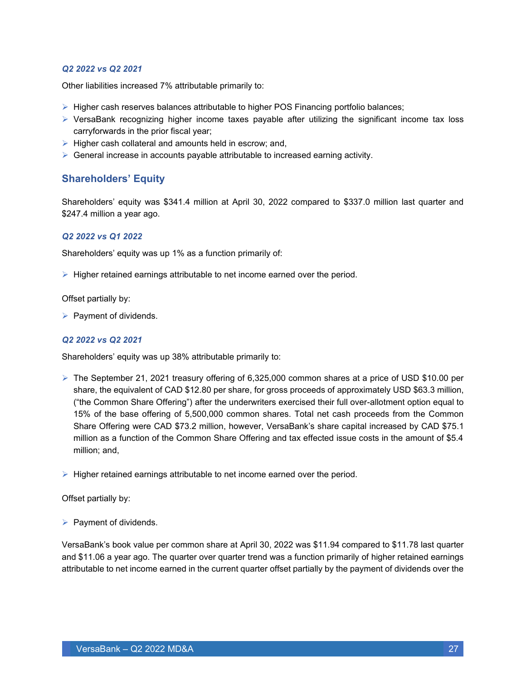#### *Q2 2022 vs Q2 2021*

Other liabilities increased 7% attributable primarily to:

- $\triangleright$  Higher cash reserves balances attributable to higher POS Financing portfolio balances;
- ➢ VersaBank recognizing higher income taxes payable after utilizing the significant income tax loss carryforwards in the prior fiscal year;
- ➢ Higher cash collateral and amounts held in escrow; and,
- ➢ General increase in accounts payable attributable to increased earning activity.

#### **Shareholders' Equity**

Shareholders' equity was \$341.4 million at April 30, 2022 compared to \$337.0 million last quarter and \$247.4 million a year ago.

#### *Q2 2022 vs Q1 2022*

Shareholders' equity was up 1% as a function primarily of:

➢ Higher retained earnings attributable to net income earned over the period.

Offset partially by:

 $\triangleright$  Payment of dividends.

#### *Q2 2022 vs Q2 2021*

Shareholders' equity was up 38% attributable primarily to:

- ➢ The September 21, 2021 treasury offering of 6,325,000 common shares at a price of USD \$10.00 per share, the equivalent of CAD \$12.80 per share, for gross proceeds of approximately USD \$63.3 million, ("the Common Share Offering") after the underwriters exercised their full over-allotment option equal to 15% of the base offering of 5,500,000 common shares. Total net cash proceeds from the Common Share Offering were CAD \$73.2 million, however, VersaBank's share capital increased by CAD \$75.1 million as a function of the Common Share Offering and tax effected issue costs in the amount of \$5.4 million; and,
- ➢ Higher retained earnings attributable to net income earned over the period.

Offset partially by:

 $\triangleright$  Payment of dividends.

VersaBank's book value per common share at April 30, 2022 was \$11.94 compared to \$11.78 last quarter and \$11.06 a year ago. The quarter over quarter trend was a function primarily of higher retained earnings attributable to net income earned in the current quarter offset partially by the payment of dividends over the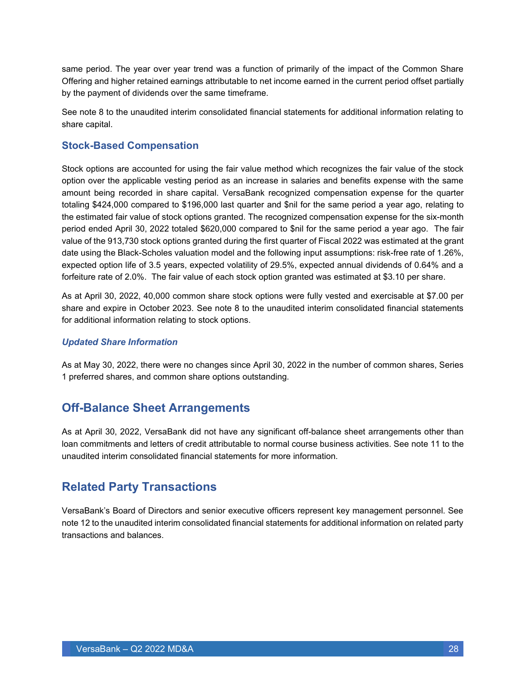same period. The year over year trend was a function of primarily of the impact of the Common Share Offering and higher retained earnings attributable to net income earned in the current period offset partially by the payment of dividends over the same timeframe.

See note 8 to the unaudited interim consolidated financial statements for additional information relating to share capital.

#### **Stock-Based Compensation**

Stock options are accounted for using the fair value method which recognizes the fair value of the stock option over the applicable vesting period as an increase in salaries and benefits expense with the same amount being recorded in share capital. VersaBank recognized compensation expense for the quarter totaling \$424,000 compared to \$196,000 last quarter and \$nil for the same period a year ago, relating to the estimated fair value of stock options granted. The recognized compensation expense for the six-month period ended April 30, 2022 totaled \$620,000 compared to \$nil for the same period a year ago. The fair value of the 913,730 stock options granted during the first quarter of Fiscal 2022 was estimated at the grant date using the Black-Scholes valuation model and the following input assumptions: risk-free rate of 1.26%, expected option life of 3.5 years, expected volatility of 29.5%, expected annual dividends of 0.64% and a forfeiture rate of 2.0%. The fair value of each stock option granted was estimated at \$3.10 per share.

As at April 30, 2022, 40,000 common share stock options were fully vested and exercisable at \$7.00 per share and expire in October 2023. See note 8 to the unaudited interim consolidated financial statements for additional information relating to stock options.

#### *Updated Share Information*

As at May 30, 2022, there were no changes since April 30, 2022 in the number of common shares, Series 1 preferred shares, and common share options outstanding.

### <span id="page-27-0"></span>**Off-Balance Sheet Arrangements**

As at April 30, 2022, VersaBank did not have any significant off-balance sheet arrangements other than loan commitments and letters of credit attributable to normal course business activities. See note 11 to the unaudited interim consolidated financial statements for more information.

### <span id="page-27-1"></span>**Related Party Transactions**

VersaBank's Board of Directors and senior executive officers represent key management personnel. See note 12 to the unaudited interim consolidated financial statements for additional information on related party transactions and balances.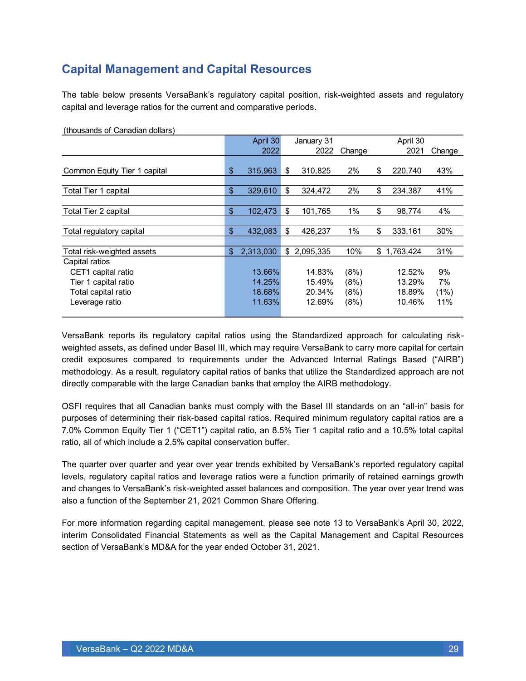### <span id="page-28-0"></span>**Capital Management and Capital Resources**

The table below presents VersaBank's regulatory capital position, risk-weighted assets and regulatory capital and leverage ratios for the current and comparative periods.

|                              |                   | April 30  | January 31    |        | April 30      |        |  |
|------------------------------|-------------------|-----------|---------------|--------|---------------|--------|--|
|                              |                   | 2022      | 2022          | Change | 2021          | Change |  |
|                              |                   |           |               |        |               |        |  |
| Common Equity Tier 1 capital | \$                | 315,963   | \$<br>310,825 | 2%     | \$<br>220,740 | 43%    |  |
|                              |                   |           |               |        |               |        |  |
| Total Tier 1 capital         | $\frac{1}{2}$     | 329,610   | \$<br>324,472 | 2%     | \$<br>234,387 | 41%    |  |
|                              |                   |           |               |        |               |        |  |
| Total Tier 2 capital         | $\boldsymbol{\$}$ | 102,473   | \$<br>101.765 | 1%     | \$<br>98.774  | 4%     |  |
|                              |                   |           |               |        |               |        |  |
| Total regulatory capital     | $\frac{1}{2}$     | 432,083   | \$<br>426,237 | 1%     | \$<br>333.161 | 30%    |  |
|                              |                   |           |               |        |               |        |  |
| Total risk-weighted assets   | \$                | 2,313,030 | \$2,095,335   | 10%    | \$1,763,424   | 31%    |  |
| Capital ratios               |                   |           |               |        |               |        |  |
| CET1 capital ratio           |                   | 13.66%    | 14.83%        | (8%)   | 12.52%        | 9%     |  |
| Tier 1 capital ratio         |                   | 14.25%    | 15.49%        | (8%)   | 13.29%        | 7%     |  |
| Total capital ratio          |                   | 18.68%    | 20.34%        | (8%)   | 18.89%        | (1%)   |  |
| Leverage ratio               |                   | 11.63%    | 12.69%        | (8%)   | 10.46%        | 11%    |  |
|                              |                   |           |               |        |               |        |  |

(thousands of Canadian dollars)

VersaBank reports its regulatory capital ratios using the Standardized approach for calculating riskweighted assets, as defined under Basel III, which may require VersaBank to carry more capital for certain credit exposures compared to requirements under the Advanced Internal Ratings Based ("AIRB") methodology. As a result, regulatory capital ratios of banks that utilize the Standardized approach are not directly comparable with the large Canadian banks that employ the AIRB methodology.

OSFI requires that all Canadian banks must comply with the Basel III standards on an "all-in" basis for purposes of determining their risk-based capital ratios. Required minimum regulatory capital ratios are a 7.0% Common Equity Tier 1 ("CET1") capital ratio, an 8.5% Tier 1 capital ratio and a 10.5% total capital ratio, all of which include a 2.5% capital conservation buffer.

The quarter over quarter and year over year trends exhibited by VersaBank's reported regulatory capital levels, regulatory capital ratios and leverage ratios were a function primarily of retained earnings growth and changes to VersaBank's risk-weighted asset balances and composition. The year over year trend was also a function of the September 21, 2021 Common Share Offering.

For more information regarding capital management, please see note 13 to VersaBank's April 30, 2022, interim Consolidated Financial Statements as well as the Capital Management and Capital Resources section of VersaBank's MD&A for the year ended October 31, 2021.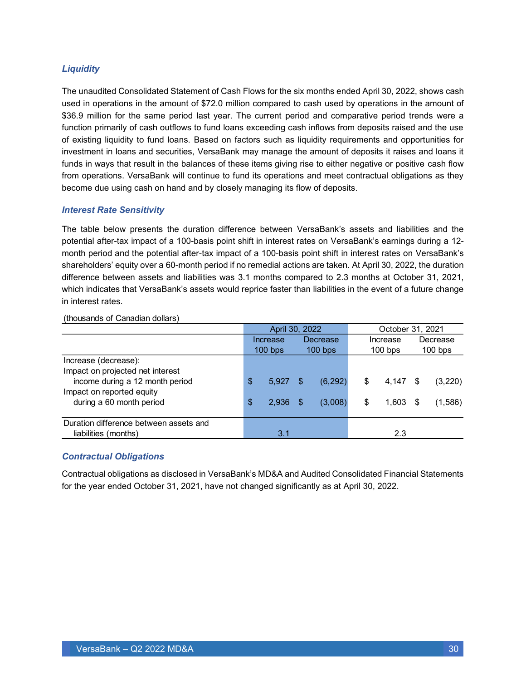#### *Liquidity*

The unaudited Consolidated Statement of Cash Flows for the six months ended April 30, 2022, shows cash used in operations in the amount of \$72.0 million compared to cash used by operations in the amount of \$36.9 million for the same period last year. The current period and comparative period trends were a function primarily of cash outflows to fund loans exceeding cash inflows from deposits raised and the use of existing liquidity to fund loans. Based on factors such as liquidity requirements and opportunities for investment in loans and securities, VersaBank may manage the amount of deposits it raises and loans it funds in ways that result in the balances of these items giving rise to either negative or positive cash flow from operations. VersaBank will continue to fund its operations and meet contractual obligations as they become due using cash on hand and by closely managing its flow of deposits.

#### *Interest Rate Sensitivity*

The table below presents the duration difference between VersaBank's assets and liabilities and the potential after-tax impact of a 100-basis point shift in interest rates on VersaBank's earnings during a 12 month period and the potential after-tax impact of a 100-basis point shift in interest rates on VersaBank's shareholders' equity over a 60-month period if no remedial actions are taken. At April 30, 2022, the duration difference between assets and liabilities was 3.1 months compared to 2.3 months at October 31, 2021, which indicates that VersaBank's assets would reprice faster than liabilities in the event of a future change in interest rates.

|                                        |               | April 30, 2022 |     |           |             | October 31, 2021 |           |  |  |
|----------------------------------------|---------------|----------------|-----|-----------|-------------|------------------|-----------|--|--|
|                                        | Increase      |                |     | Decrease  | Increase    |                  | Decrease  |  |  |
|                                        |               | $100$ bps      |     | $100$ bps | $100$ bps   |                  | $100$ bps |  |  |
| Increase (decrease):                   |               |                |     |           |             |                  |           |  |  |
| Impact on projected net interest       |               |                |     |           |             |                  |           |  |  |
| income during a 12 month period        | $\frac{1}{2}$ | 5,927          | -\$ | (6, 292)  | \$<br>4,147 | \$               | (3,220)   |  |  |
| Impact on reported equity              |               |                |     |           |             |                  |           |  |  |
| during a 60 month period               | \$            | 2.936          | \$. | (3,008)   | \$<br>1,603 | S                | (1,586)   |  |  |
|                                        |               |                |     |           |             |                  |           |  |  |
| Duration difference between assets and |               |                |     |           |             |                  |           |  |  |
| liabilities (months)                   |               | 3.1            |     |           | 2.3         |                  |           |  |  |

(thousands of Canadian dollars)

#### *Contractual Obligations*

Contractual obligations as disclosed in VersaBank's MD&A and Audited Consolidated Financial Statements for the year ended October 31, 2021, have not changed significantly as at April 30, 2022.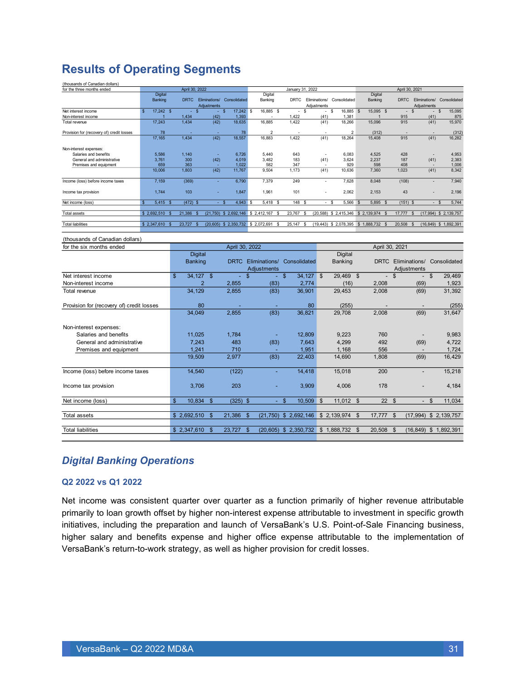### <span id="page-30-0"></span>**Results of Operating Segments**

| (thousands of Canadian dollars)                          |                       |                                 |               |                                    |               |                         |                                 |             |                      |                                    |              |                    |                |                          |                           |                                 |
|----------------------------------------------------------|-----------------------|---------------------------------|---------------|------------------------------------|---------------|-------------------------|---------------------------------|-------------|----------------------|------------------------------------|--------------|--------------------|----------------|--------------------------|---------------------------|---------------------------------|
| for the three months ended                               |                       | April 30, 2022                  |               |                                    |               |                         | January 31, 2022                |             |                      |                                    |              |                    |                | April 30, 2021           |                           |                                 |
| Banking                                                  | <b>Digital</b>        |                                 | Adjustments   | DRTC Eliminations/ Consolidated    |               | Digital<br>Banking      | <b>DRTC</b>                     | Adjustments |                      | Eliminations/ Consolidated         |              | Digital<br>Banking | <b>DRTC</b>    | Adjustments              |                           | Eliminations/ Consolidated      |
| \$<br>Net interest income<br>Non-interest income         | 17,242 \$             | $\mathsf{s}$<br>$\sim$<br>1,434 | (42)          | 17,242 \$<br>\$<br>1,393           |               | 16,885 \$               | $\mathbf{r}$<br>1,422           | \$          | \$<br>(41)           | 16,885 \$<br>1,381                 |              | 15,095 \$          | ÷.<br>915      | $\mathsf{s}$             | (41)                      | 15,095<br>$\sqrt{3}$<br>875     |
| 17.243<br>Total revenue                                  |                       | 1.434                           | (42)          | 18,635                             |               | 16,885                  | 1,422                           |             | (41)                 | 18,266                             |              | 15,096             | 915            |                          | (41)                      | 15,970                          |
| Provision for (recovery of) credit losses                | 78                    |                                 |               | 78                                 |               | $\overline{\mathbf{c}}$ |                                 |             |                      | $\overline{\mathbf{c}}$            |              | (312)              |                |                          |                           | (312)                           |
| 17,165                                                   |                       | 1,434                           | (42)          | 18,557                             |               | 16,883                  | 1,422                           |             | (41)                 | 18,264                             |              | 15,408             | 915            |                          | (41)                      | 16,282                          |
| Non-interest expenses:<br>Salaries and benefits<br>5,586 |                       | 1,140                           |               | 6,726                              |               | 5,440                   | 643                             |             |                      | 6,083                              |              | 4,525              | 428            |                          |                           | 4,953                           |
| General and administrative<br>3,761                      |                       | 300                             | (42)          | 4.019                              |               | 3,482                   | 183                             |             | (41)                 | 3,624                              |              | 2,237              | 187            |                          | (41)                      | 2,383                           |
| Premises and equipment                                   | 659                   | 363                             |               | 1.022                              |               | 582                     | 347                             |             |                      | 929                                |              | 598                | 408            |                          |                           | 1,006                           |
| 10,006                                                   |                       | 1,803                           | (42)          | 11,767                             |               | 9,504                   | 1,173                           |             | (41)                 | 10,636                             |              | 7,360              | 1,023          |                          | (41)                      | 8,342                           |
| 7,159<br>Income (loss) before income taxes               |                       | (369)                           |               | 6.790                              |               | 7,379                   | 249                             |             | $\ddot{\phantom{1}}$ | 7,628                              |              | 8,048              | (108)          |                          | ä,                        | 7,940                           |
| 1,744<br>Income tax provision                            |                       | 103                             |               | 1,847                              |               | 1,961                   | 101                             |             | $\ddot{\phantom{1}}$ | 2,062                              |              | 2,153              | 43             |                          |                           | 2,196                           |
| Net income (loss)<br>$\overline{s}$                      | 5,415<br>$\mathbf{s}$ | (472)<br>- \$                   |               | $4,943$ \$<br>\$.                  |               | 5,418<br><b>S</b>       | 148                             | <b>S</b>    | s<br>$\mathbf{r}$    | 5,566                              | $\mathbf{s}$ | 5,895<br>\$        | (151)          | $\mathbf{s}$             | $\mathbf{r}$              | 5,744<br>$\hat{\mathbf{r}}$     |
| <b>Total assets</b><br>\$2,692,510                       | - \$                  | 21,386<br>$\mathbf{s}$          |               | (21,750) \$ 2,692,146 \$ 2,412,167 |               | s.                      | 23,767                          | \$          |                      | (20,588) \$2,415,346 \$2,139,974   |              | $\mathbf{s}$       | 17,777         | $\mathbf{s}$             |                           | $(17,994)$ \$ 2,139,757         |
| <b>Total liabilities</b><br>\$2,347,610                  | - \$                  | 23,727<br>$\mathbf{s}$          |               | (20,605) \$ 2,350,732 \$ 2,072,691 |               | <b>S</b>                | 25,147                          | \$          |                      | (19,443) \$ 2,078,395 \$ 1,888,732 |              |                    | 20,508         | $\mathbf{\$}$            |                           | $(16,849)$ \$ 1,892,391         |
| (thousands of Canadian dollars)                          |                       |                                 |               |                                    |               |                         |                                 |             |                      |                                    |              |                    |                |                          |                           |                                 |
|                                                          |                       |                                 |               |                                    |               |                         |                                 |             |                      |                                    |              |                    |                |                          |                           |                                 |
| for the six months ended                                 |                       |                                 |               | April 30, 2022                     |               |                         |                                 |             |                      |                                    |              |                    | April 30, 2021 |                          |                           |                                 |
|                                                          |                       | <b>Digital</b>                  |               |                                    |               |                         |                                 |             |                      | Digital                            |              |                    |                |                          |                           |                                 |
|                                                          |                       | <b>Banking</b>                  |               |                                    |               | Adiustments             | DRTC Eliminations/ Consolidated |             |                      | <b>Banking</b>                     |              |                    |                | Adiustments              |                           | DRTC Eliminations/ Consolidated |
| Net interest income                                      |                       | $\mathbf{\hat{s}}$<br>34.127 \$ |               | ÷.                                 | $\mathsf{\$}$ | ÷.                      | \$                              | 34.127      | $\mathfrak{S}$       | 29.469                             | \$           | $\overline{a}$     | \$             | $\overline{\phantom{a}}$ | \$                        | 29.469                          |
| Non-interest income                                      |                       | 2                               |               | 2,855                              |               | (83)                    |                                 | 2,774       |                      | (16)                               |              | 2,008              |                | (69)                     |                           | 1,923                           |
| Total revenue                                            |                       | 34.129                          |               | 2.855                              |               | (83)                    |                                 | 36,901      |                      | 29.453                             |              | 2,008              |                | (69)                     |                           | 31,392                          |
| Provision for (recovery of) credit losses                |                       | 80                              |               |                                    |               |                         |                                 | 80          |                      | (255)                              |              |                    |                |                          |                           | (255)                           |
|                                                          |                       | 34.049                          |               | 2.855                              |               | (83)                    |                                 | 36.821      |                      | 29,708                             |              | 2.008              |                | (69)                     |                           | 31.647                          |
| Non-interest expenses:                                   |                       |                                 |               |                                    |               |                         |                                 |             |                      |                                    |              |                    |                |                          |                           |                                 |
| Salaries and benefits                                    |                       |                                 |               |                                    |               |                         |                                 | 12,809      |                      | 9,223                              |              | 760                |                |                          |                           | 9,983                           |
|                                                          |                       | 11,025                          |               | 1,784                              |               |                         |                                 |             |                      |                                    |              |                    |                |                          |                           |                                 |
| General and administrative                               |                       | 7,243                           |               | 483                                |               | (83)                    |                                 | 7,643       |                      | 4,299                              |              | 492                |                | (69)                     |                           | 4,722                           |
| Premises and equipment                                   |                       | 1,241                           |               | 710                                |               |                         |                                 | 1,951       |                      | 1,168                              |              | 556                |                |                          |                           | 1,724                           |
|                                                          |                       | 19,509                          |               | 2,977                              |               | (83)                    |                                 | 22.403      |                      | 14,690                             |              | 1,808              |                | (69)                     |                           | 16.429                          |
| Income (loss) before income taxes                        |                       | 14,540                          |               | (122)                              |               |                         |                                 | 14,418      |                      | 15,018                             |              | 200                |                |                          |                           | 15,218                          |
| Income tax provision                                     |                       | 3,706                           |               | 203                                |               |                         |                                 | 3,909       |                      | 4,006                              |              | 178                |                |                          |                           | 4,184                           |
|                                                          |                       |                                 |               |                                    |               |                         |                                 |             |                      |                                    |              |                    |                |                          |                           |                                 |
| Net income (loss)                                        |                       | \$<br>10,834                    | $\sqrt[6]{3}$ | $(325)$ \$                         |               | ٠                       | $\frac{1}{2}$                   | 10,509      | \$                   | 11,012                             | \$           | 22                 | \$             | $\overline{\phantom{a}}$ | $\boldsymbol{\mathsf{S}}$ | 11,034                          |
| <b>Total assets</b>                                      |                       | \$2.692.510                     | \$            | 21.386                             | $\mathsf{\$}$ |                         | $(21,750)$ \$ 2,692,146         |             | \$2,139,974          |                                    | \$           | 17.777             | \$             |                          |                           | $(17,994)$ \$ 2,139,757         |
|                                                          |                       |                                 |               |                                    |               |                         |                                 |             |                      |                                    |              |                    |                |                          |                           |                                 |

### *Digital Banking Operations*

#### **Q2 2022 vs Q1 2022**

Net income was consistent quarter over quarter as a function primarily of higher revenue attributable primarily to loan growth offset by higher non-interest expense attributable to investment in specific growth initiatives, including the preparation and launch of VersaBank's U.S. Point-of-Sale Financing business, higher salary and benefits expense and higher office expense attributable to the implementation of VersaBank's return-to-work strategy, as well as higher provision for credit losses.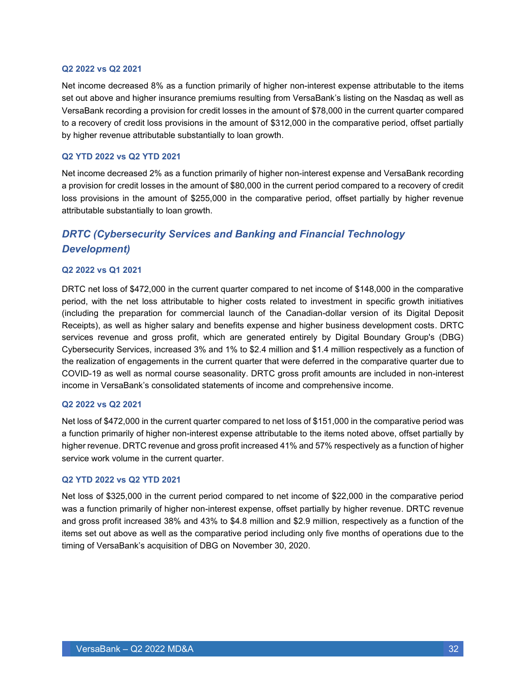#### **Q2 2022 vs Q2 2021**

Net income decreased 8% as a function primarily of higher non-interest expense attributable to the items set out above and higher insurance premiums resulting from VersaBank's listing on the Nasdaq as well as VersaBank recording a provision for credit losses in the amount of \$78,000 in the current quarter compared to a recovery of credit loss provisions in the amount of \$312,000 in the comparative period, offset partially by higher revenue attributable substantially to loan growth.

#### **Q2 YTD 2022 vs Q2 YTD 2021**

Net income decreased 2% as a function primarily of higher non-interest expense and VersaBank recording a provision for credit losses in the amount of \$80,000 in the current period compared to a recovery of credit loss provisions in the amount of \$255,000 in the comparative period, offset partially by higher revenue attributable substantially to loan growth.

### *DRTC (Cybersecurity Services and Banking and Financial Technology Development)*

#### **Q2 2022 vs Q1 2021**

DRTC net loss of \$472,000 in the current quarter compared to net income of \$148,000 in the comparative period, with the net loss attributable to higher costs related to investment in specific growth initiatives (including the preparation for commercial launch of the Canadian-dollar version of its Digital Deposit Receipts), as well as higher salary and benefits expense and higher business development costs. DRTC services revenue and gross profit, which are generated entirely by Digital Boundary Group's (DBG) Cybersecurity Services, increased 3% and 1% to \$2.4 million and \$1.4 million respectively as a function of the realization of engagements in the current quarter that were deferred in the comparative quarter due to COVID-19 as well as normal course seasonality. DRTC gross profit amounts are included in non-interest income in VersaBank's consolidated statements of income and comprehensive income.

#### **Q2 2022 vs Q2 2021**

Net loss of \$472,000 in the current quarter compared to net loss of \$151,000 in the comparative period was a function primarily of higher non-interest expense attributable to the items noted above, offset partially by higher revenue. DRTC revenue and gross profit increased 41% and 57% respectively as a function of higher service work volume in the current quarter.

#### **Q2 YTD 2022 vs Q2 YTD 2021**

Net loss of \$325,000 in the current period compared to net income of \$22,000 in the comparative period was a function primarily of higher non-interest expense, offset partially by higher revenue. DRTC revenue and gross profit increased 38% and 43% to \$4.8 million and \$2.9 million, respectively as a function of the items set out above as well as the comparative period including only five months of operations due to the timing of VersaBank's acquisition of DBG on November 30, 2020.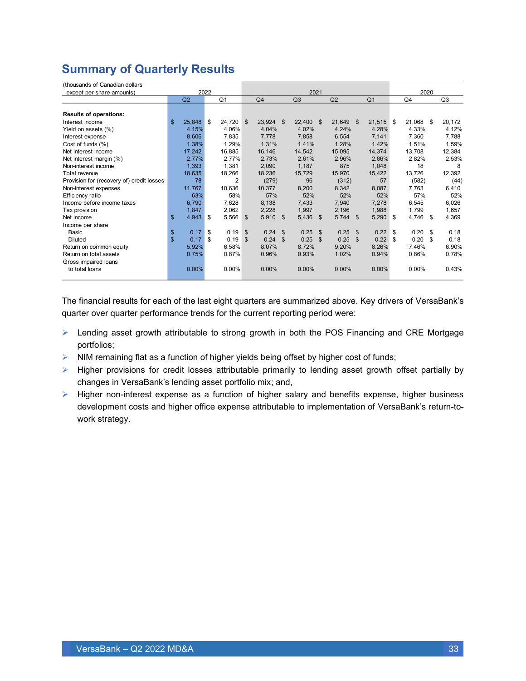### <span id="page-32-0"></span>**Summary of Quarterly Results**

| (thousands of Canadian dollars            |               |        |      |                |                |                |                |                |                |            |                |                |            |      |        |
|-------------------------------------------|---------------|--------|------|----------------|----------------|----------------|----------------|----------------|----------------|------------|----------------|----------------|------------|------|--------|
| except per share amounts)                 |               |        | 2022 |                |                |                |                | 2021           |                |            |                |                |            | 2020 |        |
|                                           |               | Q2     |      | Q <sub>1</sub> |                | Q <sub>4</sub> |                | Q <sub>3</sub> |                | Q2         |                | Q <sub>1</sub> | Q4         |      | Q3     |
| <b>Results of operations:</b>             |               |        |      |                |                |                |                |                |                |            |                |                |            |      |        |
| Interest income                           | \$            | 25,848 | \$   | 24,720         | \$             | 23,924 \$      |                | 22,400 \$      |                | 21,649 \$  |                | 21,515 \$      | 21,068 \$  |      | 20,172 |
| Yield on assets (%)                       |               | 4.15%  |      | 4.06%          |                | 4.04%          |                | 4.02%          |                | 4.24%      |                | 4.28%          | 4.33%      |      | 4.12%  |
| Interest expense                          |               | 8,606  |      | 7,835          |                | 7.778          |                | 7,858          |                | 6,554      |                | 7,141          | 7,360      |      | 7,788  |
| Cost of funds (%)                         |               | 1.38%  |      | 1.29%          |                | 1.31%          |                | 1.41%          |                | 1.28%      |                | 1.42%          | 1.51%      |      | 1.59%  |
| Net interest income                       |               | 17,242 |      | 16,885         |                | 16,146         |                | 14,542         |                | 15,095     |                | 14,374         | 13,708     |      | 12,384 |
| Net interest margin (%)                   |               | 2.77%  |      | 2.77%          |                | 2.73%          |                | 2.61%          |                | 2.96%      |                | 2.86%          | 2.82%      |      | 2.53%  |
| Non-interest income                       |               | 1,393  |      | 1,381          |                | 2,090          |                | 1,187          |                | 875        |                | 1,048          | 18         |      | 8      |
| Total revenue                             |               | 18,635 |      | 18,266         |                | 18,236         |                | 15,729         |                | 15,970     |                | 15,422         | 13,726     |      | 12,392 |
| Provision for (recovery of) credit losses |               | 78     |      | 2              |                | (279)          |                | 96             |                | (312)      |                | 57             | (582)      |      | (44)   |
| Non-interest expenses                     |               | 11,767 |      | 10,636         |                | 10,377         |                | 8,200          |                | 8,342      |                | 8,087          | 7,763      |      | 6,410  |
| Efficiency ratio                          |               | 63%    |      | 58%            |                | 57%            |                | 52%            |                | 52%        |                | 52%            | 57%        |      | 52%    |
| Income before income taxes                |               | 6,790  |      | 7,628          |                | 8,138          |                | 7,433          |                | 7,940      |                | 7,278          | 6,545      |      | 6,026  |
| Tax provision                             |               | 1,847  |      | 2,062          |                | 2,228          |                | 1,997          |                | 2,196      |                | 1,988          | 1,799      |      | 1,657  |
| Net income                                | \$            | 4,943  | \$   | 5,566          | \$             | 5,910          | \$             | $5,436$ \$     |                | $5,744$ \$ |                | $5,290$ \$     | 4,746 \$   |      | 4,369  |
| Income per share                          |               |        |      |                |                |                |                |                |                |            |                |                |            |      |        |
| Basic                                     | \$            | 0.17   | \$   | 0.19           | $\mathfrak{L}$ | 0.24           | $\mathfrak{L}$ | 0.25           | $\mathbf{\$}$  | 0.25       | $\mathfrak{L}$ | 0.22           | \$<br>0.20 | -\$  | 0.18   |
| <b>Diluted</b>                            | $\mathsf{\$}$ | 0.17   | \$   | 0.19           | $\mathfrak{L}$ | 0.24           | \$             | 0.25           | $\mathfrak{L}$ | 0.25       | \$             | 0.22           | \$<br>0.20 | \$   | 0.18   |
| Return on common equity                   |               | 5.92%  |      | 6.58%          |                | 8.07%          |                | 8.72%          |                | 9.20%      |                | 8.26%          | 7.46%      |      | 6.90%  |
| Return on total assets                    |               | 0.75%  |      | 0.87%          |                | 0.96%          |                | 0.93%          |                | 1.02%      |                | 0.94%          | 0.86%      |      | 0.78%  |
| Gross impaired loans                      |               |        |      |                |                |                |                |                |                |            |                |                |            |      |        |
| to total loans                            |               | 0.00%  |      | 0.00%          |                | 0.00%          |                | 0.00%          |                | 0.00%      |                | $0.00\%$       | 0.00%      |      | 0.43%  |
|                                           |               |        |      |                |                |                |                |                |                |            |                |                |            |      |        |

The financial results for each of the last eight quarters are summarized above. Key drivers of VersaBank's quarter over quarter performance trends for the current reporting period were:

- ➢ Lending asset growth attributable to strong growth in both the POS Financing and CRE Mortgage portfolios;
- ➢ NIM remaining flat as a function of higher yields being offset by higher cost of funds;
- ➢ Higher provisions for credit losses attributable primarily to lending asset growth offset partially by changes in VersaBank's lending asset portfolio mix; and,
- ➢ Higher non-interest expense as a function of higher salary and benefits expense, higher business development costs and higher office expense attributable to implementation of VersaBank's return-towork strategy.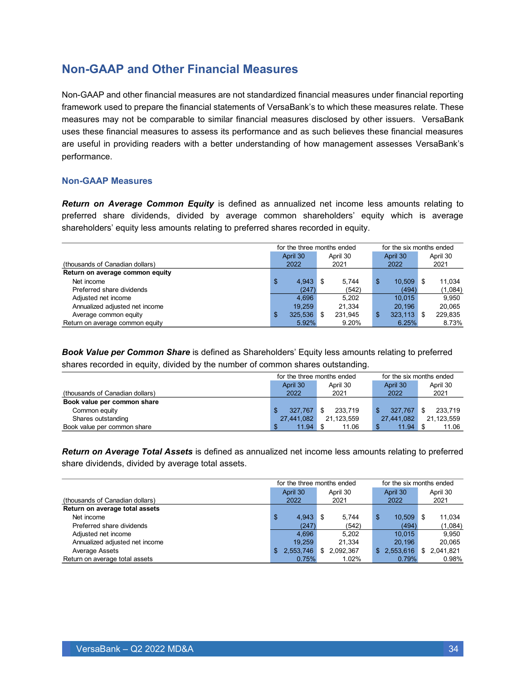### <span id="page-33-0"></span>**Non-GAAP and Other Financial Measures**

Non-GAAP and other financial measures are not standardized financial measures under financial reporting framework used to prepare the financial statements of VersaBank's to which these measures relate. These measures may not be comparable to similar financial measures disclosed by other issuers. VersaBank uses these financial measures to assess its performance and as such believes these financial measures are useful in providing readers with a better understanding of how management assesses VersaBank's performance.

#### **Non-GAAP Measures**

*Return on Average Common Equity* is defined as annualized net income less amounts relating to preferred share dividends, divided by average common shareholders' equity which is average shareholders' equity less amounts relating to preferred shares recorded in equity.

|                                 | for the three months ended |          |     |          |               | for the six months ended |          |  |
|---------------------------------|----------------------------|----------|-----|----------|---------------|--------------------------|----------|--|
|                                 |                            | April 30 |     | April 30 | April 30      |                          | April 30 |  |
| (thousands of Canadian dollars) |                            | 2022     |     | 2021     | 2022          |                          | 2021     |  |
| Return on average common equity |                            |          |     |          |               |                          |          |  |
| Net income                      | \$                         | 4,943    | \$. | 5.744    | \$<br>10,509  | S                        | 11.034   |  |
| Preferred share dividends       |                            | (247)    |     | (542)    | (494)         |                          | (1,084)  |  |
| Adjusted net income             |                            | 4.696    |     | 5.202    | 10.015        |                          | 9.950    |  |
| Annualized adjusted net income  |                            | 19.259   |     | 21.334   | 20.196        |                          | 20.065   |  |
| Average common equity           | \$                         | 325,536  | \$. | 231,945  | \$<br>323.113 | -S                       | 229,835  |  |
| Return on average common equity |                            | 5.92%    |     | 9.20%    | 6.25%         |                          | 8.73%    |  |

*Book Value per Common Share* is defined as Shareholders' Equity less amounts relating to preferred shares recorded in equity, divided by the number of common shares outstanding.

|                                 |            | for the three months ended |            | for the six months ended |
|---------------------------------|------------|----------------------------|------------|--------------------------|
|                                 | April 30   | April 30                   | April 30   | April 30                 |
| (thousands of Canadian dollars) | 2022       | 2021                       | 2022       | 2021                     |
| Book value per common share     |            |                            |            |                          |
| Common equity                   | 327.767    | 233.719<br>\$              | 327.767    | 233.719<br>\$            |
| Shares outstanding              | 27,441,082 | 21,123,559                 | 27,441,082 | 21,123,559               |
| Book value per common share     | 11.94      | 11.06                      | 11.94      | 11.06                    |

*Return on Average Total Assets* is defined as annualized net income less amounts relating to preferred share dividends, divided by average total assets.

|                                 |                  | for the three months ended |              | for the six months ended |  |  |
|---------------------------------|------------------|----------------------------|--------------|--------------------------|--|--|
|                                 | April 30         | April 30                   | April 30     | April 30                 |  |  |
| (thousands of Canadian dollars) | 2022             | 2021                       | 2022         | 2021                     |  |  |
| Return on average total assets  |                  |                            |              |                          |  |  |
| Net income                      | \$<br>$4,943$ \$ | 5.744                      | 10.509<br>\$ | 11.034<br>\$.            |  |  |
| Preferred share dividends       | (247)            | (542)                      | (494)        | (1,084)                  |  |  |
| Adjusted net income             | 4.696            | 5.202                      | 10.015       | 9.950                    |  |  |
| Annualized adjusted net income  | 19.259           | 21.334                     | 20.196       | 20.065                   |  |  |
| Average Assets                  | \$2,553,746      | \$2.092.367                | \$2,553,616  | 2,041,821<br>\$          |  |  |
| Return on average total assets  | 0.75%            | 1.02%                      | 0.79%        | 0.98%                    |  |  |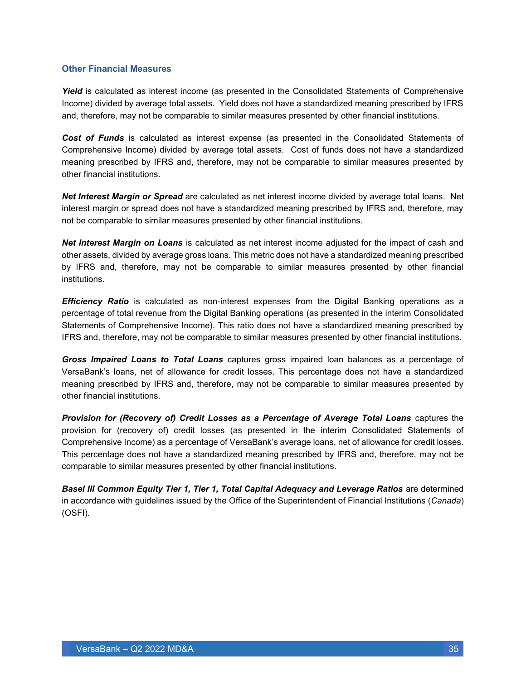#### **Other Financial Measures**

*Yield* is calculated as interest income (as presented in the Consolidated Statements of Comprehensive Income) divided by average total assets. Yield does not have a standardized meaning prescribed by IFRS and, therefore, may not be comparable to similar measures presented by other financial institutions.

*Cost of Funds* is calculated as interest expense (as presented in the Consolidated Statements of Comprehensive Income) divided by average total assets. Cost of funds does not have a standardized meaning prescribed by IFRS and, therefore, may not be comparable to similar measures presented by other financial institutions.

*Net Interest Margin or Spread* are calculated as net interest income divided by average total loans. Net interest margin or spread does not have a standardized meaning prescribed by IFRS and, therefore, may not be comparable to similar measures presented by other financial institutions.

*Net Interest Margin on Loans* is calculated as net interest income adjusted for the impact of cash and other assets, divided by average gross loans. This metric does not have a standardized meaning prescribed by IFRS and, therefore, may not be comparable to similar measures presented by other financial institutions.

*Efficiency Ratio* is calculated as non-interest expenses from the Digital Banking operations as a percentage of total revenue from the Digital Banking operations (as presented in the interim Consolidated Statements of Comprehensive Income). This ratio does not have a standardized meaning prescribed by IFRS and, therefore, may not be comparable to similar measures presented by other financial institutions.

*Gross Impaired Loans to Total Loans* captures gross impaired loan balances as a percentage of VersaBank's loans, net of allowance for credit losses. This percentage does not have a standardized meaning prescribed by IFRS and, therefore, may not be comparable to similar measures presented by other financial institutions.

*Provision for (Recovery of) Credit Losses as a Percentage of Average Total Loans* captures the provision for (recovery of) credit losses (as presented in the interim Consolidated Statements of Comprehensive Income) as a percentage of VersaBank's average loans, net of allowance for credit losses. This percentage does not have a standardized meaning prescribed by IFRS and, therefore, may not be comparable to similar measures presented by other financial institutions.

**Basel III Common Equity Tier 1, Tier 1, Total Capital Adequacy and Leverage Ratios** are determined in accordance with guidelines issued by the Office of the Superintendent of Financial Institutions (*Canada*) (OSFI).